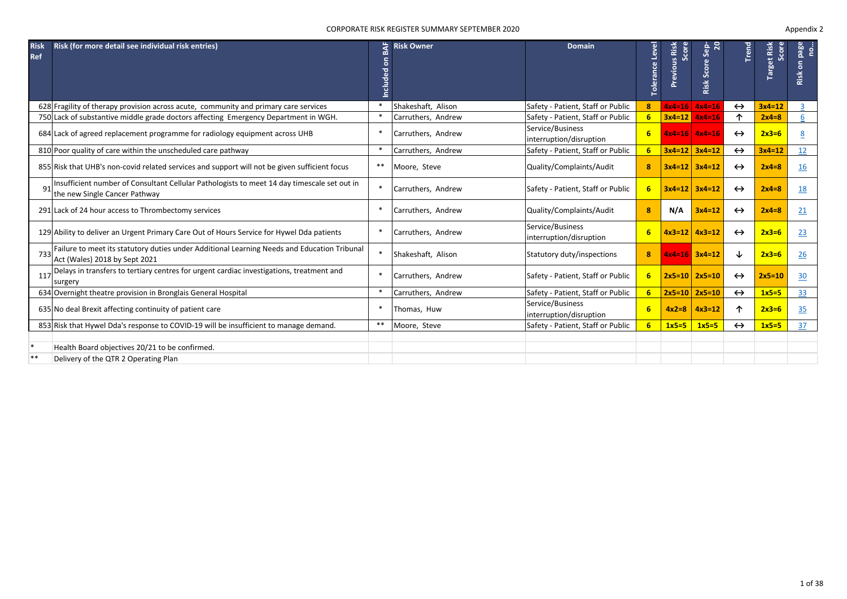### CORPORATE RISK REGISTER SUMMARY SEPTEMBER 2020

| <b>Risk</b><br><b>Ref</b> | Risk (for more detail see individual risk entries)                                                                           | ρã<br>$\circ$<br>ᄝ<br><b>Include</b> | <b>Risk Owner</b>  | <b>Domain</b>                               | Level<br>Tolerance | Risk<br>core<br><b>Previous</b><br>Ō, | $\overline{20}$<br>Sep<br><b>Risk Score</b> | Trend             | Target Risk<br>Score | page<br>ġ.<br>$\overline{5}$<br>Risk |
|---------------------------|------------------------------------------------------------------------------------------------------------------------------|--------------------------------------|--------------------|---------------------------------------------|--------------------|---------------------------------------|---------------------------------------------|-------------------|----------------------|--------------------------------------|
|                           | 628 Fragility of therapy provision across acute, community and primary care services                                         | $\ast$                               | Shakeshaft, Alison | Safety - Patient, Staff or Public           | 8                  |                                       | $4x4=16$ $4x4=16$                           | $\leftrightarrow$ | $3x4=12$             | $\overline{3}$                       |
|                           | 750 Lack of substantive middle grade doctors affecting Emergency Department in WGH.                                          |                                      | Carruthers, Andrew | Safety - Patient, Staff or Public           | 6                  |                                       | $3x4=12$ $4x4=16$                           | ↑                 | $2x4=8$              |                                      |
|                           | 684 Lack of agreed replacement programme for radiology equipment across UHB                                                  | $\ast$                               | Carruthers, Andrew | Service/Business<br>interruption/disruption | 6 <sup>1</sup>     |                                       | $4x4=16$ $4x4=16$                           | $\leftrightarrow$ | $2x3=6$              | 8                                    |
|                           | 810 Poor quality of care within the unscheduled care pathway                                                                 | $\ast$                               | Carruthers, Andrew | Safety - Patient, Staff or Public           | 6                  |                                       | $3x4=12$ $3x4=12$                           | $\leftrightarrow$ | $3x4=12$             | 12                                   |
|                           | 855 Risk that UHB's non-covid related services and support will not be given sufficient focus                                | $***$                                | Moore, Steve       | Quality/Complaints/Audit                    | 8                  |                                       | $3x4=12$ $3x4=12$                           | $\leftrightarrow$ | $2x4=8$              | 16                                   |
|                           | Insufficient number of Consultant Cellular Pathologists to meet 14 day timescale set out in<br>the new Single Cancer Pathway | $\ast$                               | Carruthers, Andrew | Safety - Patient, Staff or Public           | 6                  |                                       | $3x4=12$ $3x4=12$                           | $\leftrightarrow$ | $2x4=8$              | <u>18</u>                            |
|                           | 291 Lack of 24 hour access to Thrombectomy services                                                                          | $\ast$                               | Carruthers, Andrew | Quality/Complaints/Audit                    | 8                  | N/A                                   | $3x4=12$                                    | $\leftrightarrow$ | $2x4=8$              | 21                                   |
|                           | 129 Ability to deliver an Urgent Primary Care Out of Hours Service for Hywel Dda patients                                    |                                      | Carruthers, Andrew | Service/Business<br>interruption/disruption | 6                  |                                       | $4x3=12$ $4x3=12$                           | $\leftrightarrow$ | $2x3=6$              | 23                                   |
| 733                       | Failure to meet its statutory duties under Additional Learning Needs and Education Tribunal<br>Act (Wales) 2018 by Sept 2021 | $\ast$                               | Shakeshaft, Alison | Statutory duty/inspections                  | 8                  |                                       | $4x4=16$ $3x4=12$                           | ↓                 | $2x3=6$              | 26                                   |
| 117                       | Delays in transfers to tertiary centres for urgent cardiac investigations, treatment and<br>surgery                          | $\ast$                               | Carruthers, Andrew | Safety - Patient, Staff or Public           | 6                  |                                       | $2x5=10$ $2x5=10$                           | $\leftrightarrow$ | $2x5=10$             | 30                                   |
|                           | 634 Overnight theatre provision in Bronglais General Hospital                                                                |                                      | Carruthers, Andrew | Safety - Patient, Staff or Public           | 6                  |                                       | $2x5=10$ $2x5=10$                           | $\leftrightarrow$ | $1x5=5$              | 33                                   |
|                           | 635 No deal Brexit affecting continuity of patient care                                                                      |                                      | Thomas, Huw        | Service/Business<br>interruption/disruption | 6                  | $4x2=8$                               | $4x3=12$                                    | ↑                 | $2x3=6$              | 35                                   |
|                           | 853 Risk that Hywel Dda's response to COVID-19 will be insufficient to manage demand.                                        | **                                   | Moore, Steve       | Safety - Patient, Staff or Public           | 6                  | $1x5=5$                               | $1x5=5$                                     | $\leftrightarrow$ | $1x5=5$              | 37                                   |
| $\ast$<br>**              | Health Board objectives 20/21 to be confirmed.                                                                               |                                      |                    |                                             |                    |                                       |                                             |                   |                      |                                      |
|                           | Delivery of the QTR 2 Operating Plan                                                                                         |                                      |                    |                                             |                    |                                       |                                             |                   |                      |                                      |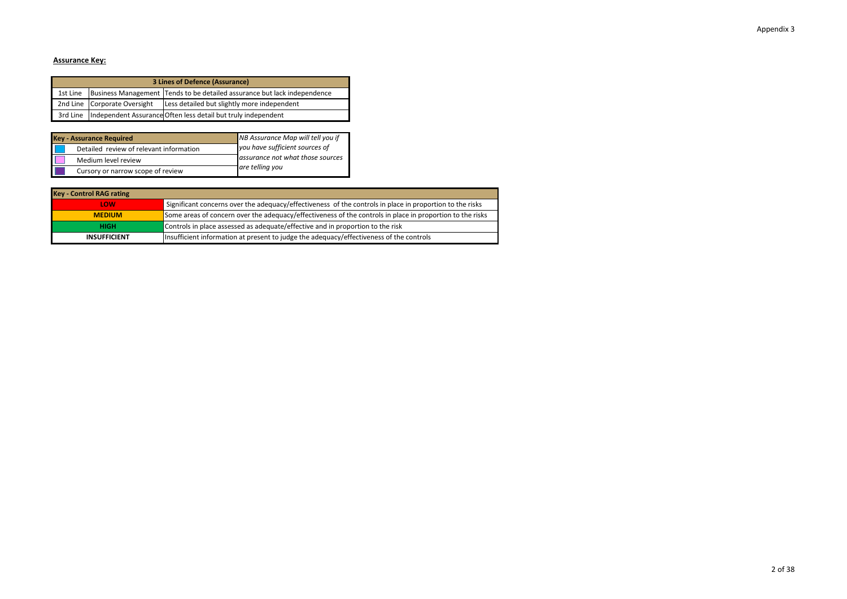# **Assurance Key:**

| 3 Lines of Defence (Assurance) |                              |                                                                          |  |  |  |  |
|--------------------------------|------------------------------|--------------------------------------------------------------------------|--|--|--|--|
| 1st Line                       |                              | Business Management Tends to be detailed assurance but lack independence |  |  |  |  |
|                                | 2nd Line Corporate Oversight | Less detailed but slightly more independent                              |  |  |  |  |
| 3rd Line                       |                              | Independent Assurance Often less detail but truly independent            |  |  |  |  |

| <b>Key - Assurance Required</b>         | NB Assurance Map will tell you if |
|-----------------------------------------|-----------------------------------|
| Detailed review of relevant information | you have sufficient sources of    |
| Medium level review                     | assurance not what those sources  |
| Cursory or narrow scope of review       | are telling you                   |

| <b>Key - Control RAG rating</b> |                                                                                                           |
|---------------------------------|-----------------------------------------------------------------------------------------------------------|
| <b>LOW</b>                      | Significant concerns over the adequacy/effectiveness of the controls in place in proportion to the risks  |
| <b>MFDIUM</b>                   | Some areas of concern over the adequacy/effectiveness of the controls in place in proportion to the risks |
| <b>HIGH</b>                     | Controls in place assessed as adequate/effective and in proportion to the risk                            |
| <b>INSUFFICIENT</b>             | Insufficient information at present to judge the adequacy/effectiveness of the controls                   |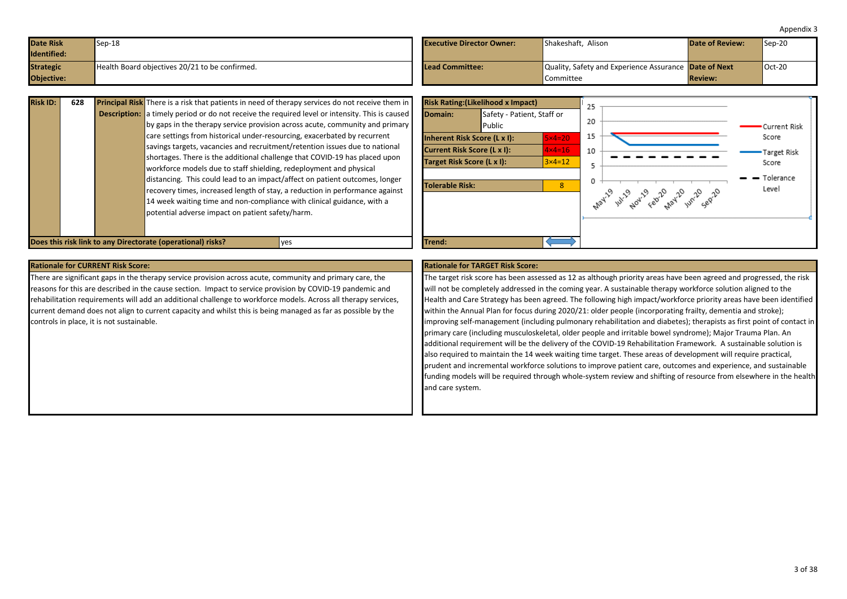<span id="page-2-0"></span>

| <b>Date Risk</b><br>Identified: | $Sep-18$                                       | <b>Executive Director Owner:</b> | Shakeshaft, Alison                                           | <b>Date of Review:</b> | $\textsf{Sep-20}$ |
|---------------------------------|------------------------------------------------|----------------------------------|--------------------------------------------------------------|------------------------|-------------------|
| <b>Strategic</b>                | Health Board objectives 20/21 to be confirmed. | Lead Committee:                  | Quality, Safety and Experience Assurance <b>Date of Next</b> |                        | $Oct-20$          |
| <b>Objective:</b>               |                                                |                                  | <b>Committee</b>                                             | <b>Review:</b>         |                   |

| <b>Description:</b> a timely period or do not receive the required level or intensity. This is caused<br>by gaps in the therapy service provision across acute, community and primary<br>care settings from historical under-resourcing, exacerbated by recurrent<br>savings targets, vacancies and recruitment/retention issues due to national<br>shortages. There is the additional challenge that COVID-19 has placed upon |
|--------------------------------------------------------------------------------------------------------------------------------------------------------------------------------------------------------------------------------------------------------------------------------------------------------------------------------------------------------------------------------------------------------------------------------|
|                                                                                                                                                                                                                                                                                                                                                                                                                                |
|                                                                                                                                                                                                                                                                                                                                                                                                                                |
|                                                                                                                                                                                                                                                                                                                                                                                                                                |
|                                                                                                                                                                                                                                                                                                                                                                                                                                |
|                                                                                                                                                                                                                                                                                                                                                                                                                                |
| workforce models due to staff shielding, redeployment and physical                                                                                                                                                                                                                                                                                                                                                             |
| distancing. This could lead to an impact/affect on patient outcomes, longer                                                                                                                                                                                                                                                                                                                                                    |
| recovery times, increased length of stay, a reduction in performance against                                                                                                                                                                                                                                                                                                                                                   |
| 14 week waiting time and non-compliance with clinical guidance, with a                                                                                                                                                                                                                                                                                                                                                         |
| potential adverse impact on patient safety/harm.                                                                                                                                                                                                                                                                                                                                                                               |
|                                                                                                                                                                                                                                                                                                                                                                                                                                |
|                                                                                                                                                                                                                                                                                                                                                                                                                                |



There are significant gaps in the therapy service provision across acute, community and primary care, the reasons for this are described in the cause section. Impact to service provision by COVID-19 pandemic and rehabilitation requirements will add an additional challenge to workforce models. Across all therapy services, current demand does not align to current capacity and whilst this is being managed as far as possible by the controls in place, it is not sustainable.

The target risk score has been assessed as 12 as although priority areas have been agreed and progressed, the risk will not be completely addressed in the coming year. A sustainable therapy workforce solution aligned to the Health and Care Strategy has been agreed. The following high impact/workforce priority areas have been identified within the Annual Plan for focus during 2020/21: older people (incorporating frailty, dementia and stroke); improving self-management (including pulmonary rehabilitation and diabetes); therapists as first point of contact in primary care (including musculoskeletal, older people and irritable bowel syndrome); Major Trauma Plan. An additional requirement will be the delivery of the COVID-19 Rehabilitation Framework. A sustainable solution is also required to maintain the 14 week waiting time target. These areas of development will require practical, prudent and incremental workforce solutions to improve patient care, outcomes and experience, and sustainable funding models will be required through whole-system review and shifting of resource from elsewhere in the health and care system.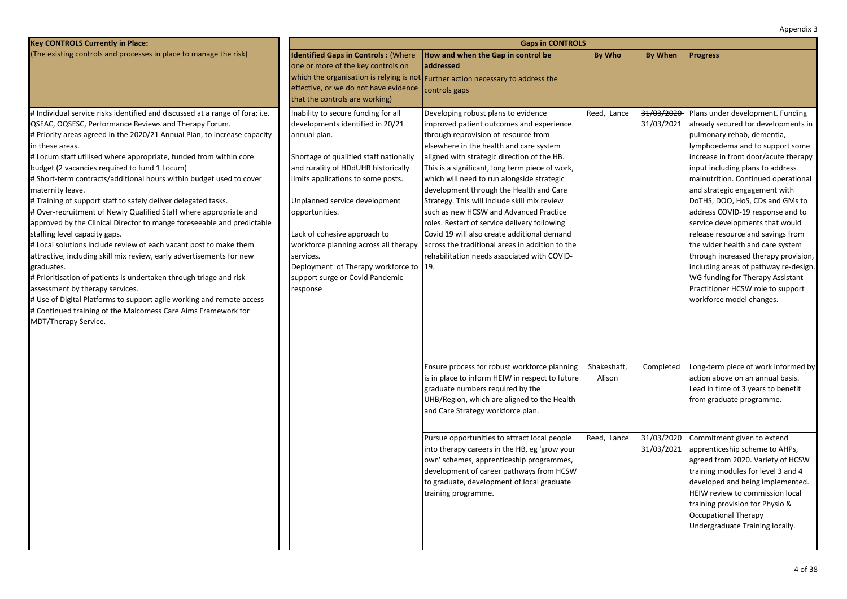Reed, Lance 31/03/2020 31/03/2021 Shakeshaft, Alison Completed Reed, Lance 31/03/2020 31/03/2021 **Key CONTROLS Currently in Place:** (The existing controls and processes in place to manage the risk) **Gaps in CONTROLS Identified Gaps in Controls: (Where** one or more of the key controls on which the organisation is relying is not **Further action necessary to address the** effective, or we do not have evidence that the controls are working) **How and when the Gap in control be addressed By Who By When Progress** controls gaps # Individual service risks identified and discussed at a range of fora; i.e. QSEAC, OQSESC, Performance Reviews and Therapy Forum. # Priority areas agreed in the 2020/21 Annual Plan, to increase capacity in these areas. # Locum staff utilised where appropriate, funded from within core budget (2 vacancies required to fund 1 Locum) # Short-term contracts/additional hours within budget used to cover maternity leave. # Training of support staff to safely deliver delegated tasks. # Over-recruitment of Newly Qualified Staff where appropriate and approved by the Clinical Director to mange foreseeable and predictable staffing level capacity gaps. # Local solutions include review of each vacant post to make them attractive, including skill mix review, early advertisements for new graduates. # Prioritisation of patients is undertaken through triage and risk assessment by therapy services. # Use of Digital Platforms to support agile working and remote access # Continued training of the Malcomess Care Aims Framework for MDT/Therapy Service. Inability to secure funding for all developments identified in 20/21 annual plan. Shortage of qualified staff nationally and rurality of HDdUHB historically limits applications to some posts. Unplanned service development opportunities. Lack of cohesive approach to workforce planning across all therapy services. Deployment of Therapy workforce to 19. support surge or Covid Pandemic response Developing robust plans to evidence improved patient outcomes and experience through reprovision of resource from elsewhere in the health and care system aligned with strategic direction of the HB. This is a significant, long term piece of work, which will need to run alongside strategic development through the Health and Care Strategy. This will include skill mix review such as new HCSW and Advanced Practice roles. Restart of service delivery following Covid 19 will also create additional demand across the traditional areas in addition to the rehabilitation needs associated with COVID-Plans under development. Funding already secured for developments in pulmonary rehab, dementia, lymphoedema and to support some increase in front door/acute therapy input including plans to address malnutrition. Continued operational and strategic engagement with DoTHS, DOO, HoS, CDs and GMs to address COVID-19 response and to service developments that would release resource and savings from the wider health and care system through increased therapy provision, including areas of pathway re-design. WG funding for Therapy Assistant Practitioner HCSW role to support workforce model changes. Ensure process for robust workforce planning is in place to inform HEIW in respect to future graduate numbers required by the UHB/Region, which are aligned to the Health and Care Strategy workforce plan. Long-term piece of work informed by action above on an annual basis. Lead in time of 3 years to benefit from graduate programme. Pursue opportunities to attract local people into therapy careers in the HB, eg 'grow your own' schemes, apprenticeship programmes, development of career pathways from HCSW to graduate, development of local graduate training programme. Commitment given to extend apprenticeship scheme to AHPs, agreed from 2020. Variety of HCSW training modules for level 3 and 4 developed and being implemented. HEIW review to commission local training provision for Physio & Occupational Therapy Undergraduate Training locally.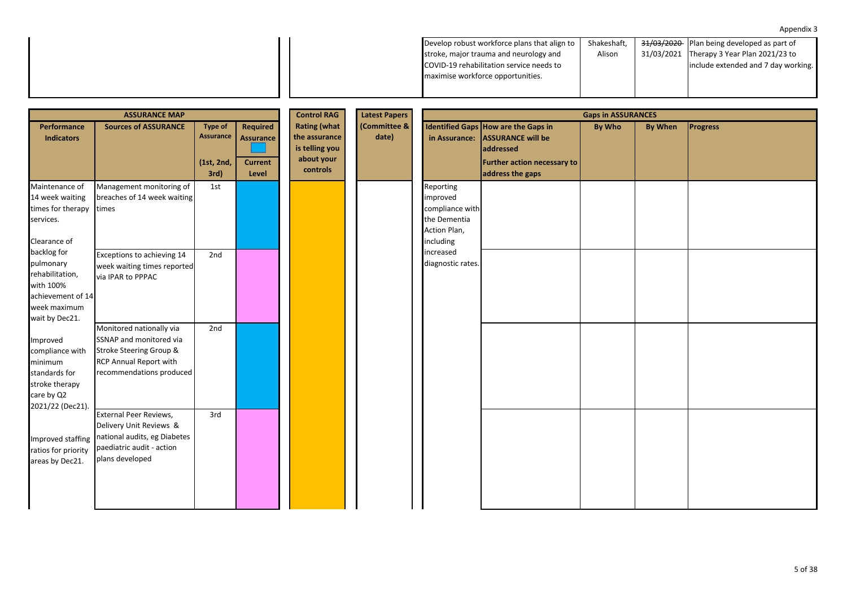| 31/03/2021 Therapy 3 Year Plan 2021/23 to<br>Alison<br>stroke, major trauma and neurology and<br>COVID-19 rehabilitation service needs to<br>include extended and 7 day working. |
|----------------------------------------------------------------------------------------------------------------------------------------------------------------------------------|
|                                                                                                                                                                                  |
|                                                                                                                                                                                  |
| maximise workforce opportunities.                                                                                                                                                |

|                                                                                                                 | <b>ASSURANCE MAP</b>                                                                                                                 |                                                          | <b>Control RAG</b>                                             | <b>Latest Papers</b>                                                             | <b>Gaps in ASSURANCES</b> |                                                                                       |                                                                                                                                        |        |         |                 |  |
|-----------------------------------------------------------------------------------------------------------------|--------------------------------------------------------------------------------------------------------------------------------------|----------------------------------------------------------|----------------------------------------------------------------|----------------------------------------------------------------------------------|---------------------------|---------------------------------------------------------------------------------------|----------------------------------------------------------------------------------------------------------------------------------------|--------|---------|-----------------|--|
| <b>Performance</b><br><b>Indicators</b>                                                                         | <b>Sources of ASSURANCE</b>                                                                                                          | <b>Type of</b><br><b>Assurance</b><br>(1st, 2nd,<br>3rd) | <b>Required</b><br><b>Assurance</b><br><b>Current</b><br>Level | <b>Rating (what</b><br>the assurance<br>is telling you<br>about your<br>controls | (Committee &<br>date)     | in Assurance:                                                                         | Identified Gaps How are the Gaps in<br><b>ASSURANCE will be</b><br><b>addressed</b><br>Further action necessary to<br>address the gaps | By Who | By When | <b>Progress</b> |  |
| Maintenance of<br>14 week waiting<br>times for therapy<br>services.<br>Clearance of                             | Management monitoring of<br>breaches of 14 week waiting<br>times                                                                     | 1st                                                      |                                                                |                                                                                  |                           | Reporting<br>improved<br>compliance with<br>the Dementia<br>Action Plan,<br>including |                                                                                                                                        |        |         |                 |  |
| backlog for<br>pulmonary<br>rehabilitation,<br>with 100%<br>achievement of 14<br>week maximum<br>wait by Dec21. | Exceptions to achieving 14<br>week waiting times reported<br>via IPAR to PPPAC                                                       | 2nd                                                      |                                                                |                                                                                  |                           | increased<br>diagnostic rates.                                                        |                                                                                                                                        |        |         |                 |  |
| Improved<br>compliance with<br>minimum<br>standards for<br>stroke therapy<br>care by Q2<br>2021/22 (Dec21).     | Monitored nationally via<br>SSNAP and monitored via<br>Stroke Steering Group &<br>RCP Annual Report with<br>recommendations produced | 2nd                                                      |                                                                |                                                                                  |                           |                                                                                       |                                                                                                                                        |        |         |                 |  |
| Improved staffing<br>ratios for priority<br>areas by Dec21.                                                     | External Peer Reviews,<br>Delivery Unit Reviews &<br>national audits, eg Diabetes<br>paediatric audit - action<br>plans developed    | 3rd                                                      |                                                                |                                                                                  |                           |                                                                                       |                                                                                                                                        |        |         |                 |  |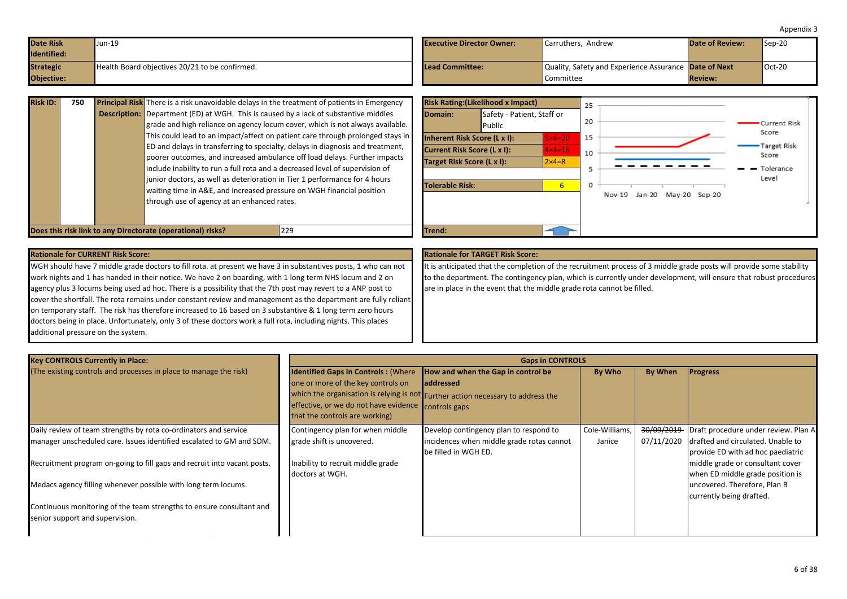| Appendix 3 |  |
|------------|--|
|------------|--|

<span id="page-5-0"></span>

| Date Risk          | Jun-19                                         | <b>Executive Director Owner:</b> | Carruthers. Andrew                                           | <b>Date of Review:</b> | $\textsf{I}$ Sep-20 |
|--------------------|------------------------------------------------|----------------------------------|--------------------------------------------------------------|------------------------|---------------------|
| <b>Identified:</b> |                                                |                                  |                                                              |                        |                     |
| <b>Strategic</b>   | Health Board objectives 20/21 to be confirmed. | Lead Committee:                  | Quality, Safety and Experience Assurance <b>Date of Next</b> |                        | $Oct-20$            |
| Objective:         |                                                |                                  | Committee                                                    | <b>Review:</b>         |                     |

| <b>Risk ID:</b> | 750 | <b>Principal Risk</b> There is a risk unavoidable delays in the treatment of patients in Emergency |                              | <b>Risk Rating: (Likelihood x Impact)</b> |                   | 25 |            |  |
|-----------------|-----|----------------------------------------------------------------------------------------------------|------------------------------|-------------------------------------------|-------------------|----|------------|--|
|                 |     | <b>Description:</b> Department (ED) at WGH. This is caused by a lack of substantive middles        | Domain:                      | Safety - Patient, Staff or                |                   |    |            |  |
|                 |     | grade and high reliance on agency locum cover, which is not always available.                      |                              | Public                                    |                   | 20 |            |  |
|                 |     | This could lead to an impact/affect on patient care through prolonged stays in                     | Inherent Risk Score (L x I): |                                           | $5\times 4=20$    | 15 |            |  |
|                 |     | ED and delays in transferring to specialty, delays in diagnosis and treatment,                     | Current Risk Score (L x I):  |                                           | $4 \times 4 = 16$ |    |            |  |
|                 |     | poorer outcomes, and increased ambulance off load delays. Further impacts                          | Target Risk Score (L x I):   |                                           | $2\times 4=8$     | 10 |            |  |
|                 |     | include inability to run a full rota and a decreased level of supervision of                       |                              |                                           |                   |    |            |  |
|                 |     | junior doctors, as well as deterioration in Tier 1 performance for 4 hours                         | Tolerable Risk:              | b                                         | 0                 |    |            |  |
|                 |     | waiting time in A&E, and increased pressure on WGH financial position                              |                              |                                           |                   |    | Nov-19 Jan |  |
|                 |     | through use of agency at an enhanced rates.                                                        |                              |                                           |                   |    |            |  |
|                 |     |                                                                                                    |                              |                                           |                   |    |            |  |
|                 |     |                                                                                                    |                              |                                           |                   |    |            |  |
|                 |     | Does this risk link to any Directorate (operational) risks?<br>229                                 | Trend:                       |                                           |                   |    |            |  |



WGH should have 7 middle grade doctors to fill rota. at present we have 3 in substantives posts, 1 who can not work nights and 1 has handed in their notice. We have 2 on boarding, with 1 long term NHS locum and 2 on agency plus 3 locums being used ad hoc. There is a possibility that the 7th post may revert to a ANP post to cover the shortfall. The rota remains under constant review and management as the department are fully reliant on temporary staff. The risk has therefore increased to 16 based on 3 substantive & 1 long term zero hours doctors being in place. Unfortunately, only 3 of these doctors work a full rota, including nights. This places additional pressure on the system.

It is anticipated that the completion of the recruitment process of 3 middle grade posts will provide some stability to the department. The contingency plan, which is currently under development, will ensure that robust procedures are in place in the event that the middle grade rota cannot be filled.

| <b>Key CONTROLS Currently in Place:</b>                                  |                                                                                                                                                                           | <b>Gaps in CONTROLS</b>                                                                                                                     |                |            |                                      |
|--------------------------------------------------------------------------|---------------------------------------------------------------------------------------------------------------------------------------------------------------------------|---------------------------------------------------------------------------------------------------------------------------------------------|----------------|------------|--------------------------------------|
| (The existing controls and processes in place to manage the risk)        | <b>Identified Gaps in Controls: (Where</b><br>one or more of the key controls on<br>effective, or we do not have evidence controls gaps<br>that the controls are working) | How and when the Gap in control be<br><b>laddressed</b><br>which the organisation is relying is not Further action necessary to address the | By Who         | By When    | <b>Progress</b>                      |
| Daily review of team strengths by rota co-ordinators and service         | Contingency plan for when middle                                                                                                                                          | Develop contingency plan to respond to                                                                                                      | Cole-Williams, | 30/09/2019 | Draft procedure under review. Plan A |
| manager unscheduled care. Issues identified escalated to GM and SDM.     | grade shift is uncovered.                                                                                                                                                 | incidences when middle grade rotas cannot                                                                                                   | Janice         | 07/11/2020 | drafted and circulated. Unable to    |
|                                                                          |                                                                                                                                                                           | be filled in WGH ED.                                                                                                                        |                |            | provide ED with ad hoc paediatric    |
| Recruitment program on-going to fill gaps and recruit into vacant posts. | Inability to recruit middle grade                                                                                                                                         |                                                                                                                                             |                |            | middle grade or consultant cover     |
|                                                                          | doctors at WGH.                                                                                                                                                           |                                                                                                                                             |                |            | when ED middle grade position is     |
| Medacs agency filling whenever possible with long term locums.           |                                                                                                                                                                           |                                                                                                                                             |                |            | uncovered. Therefore, Plan B         |
|                                                                          |                                                                                                                                                                           |                                                                                                                                             |                |            | currently being drafted.             |
| Continuous monitoring of the team strengths to ensure consultant and     |                                                                                                                                                                           |                                                                                                                                             |                |            |                                      |
| senior support and supervision.                                          |                                                                                                                                                                           |                                                                                                                                             |                |            |                                      |
|                                                                          |                                                                                                                                                                           |                                                                                                                                             |                |            |                                      |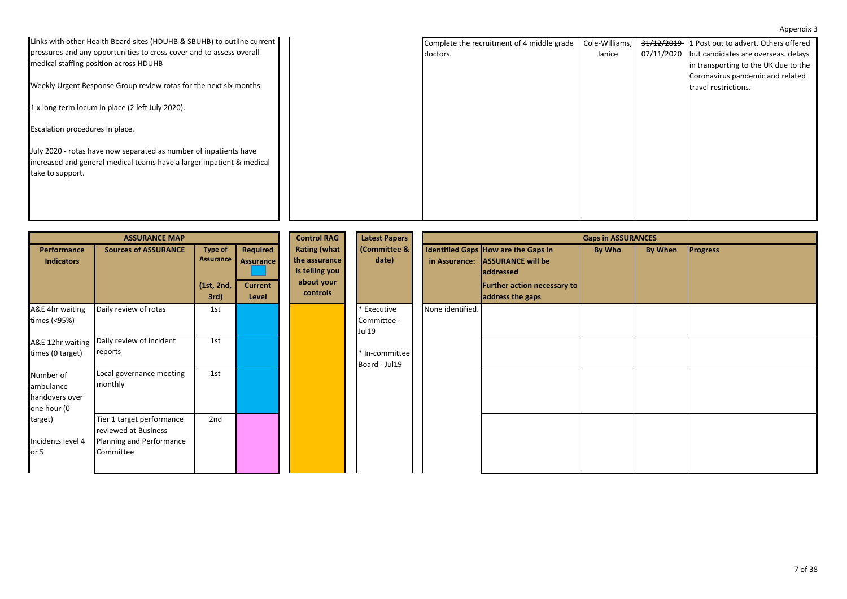| Links with other Health Board sites (HDUHB & SBUHB) to outline current | Complete the recruitment of 4 middle grade | Cole-Williams, |            | 31/12/2019 1 Post out to advert. Others offered |
|------------------------------------------------------------------------|--------------------------------------------|----------------|------------|-------------------------------------------------|
| pressures and any opportunities to cross cover and to assess overall   | doctors.                                   | Janice         | 07/11/2020 | but candidates are overseas. delays             |
| medical staffing position across HDUHB                                 |                                            |                |            | in transporting to the UK due to the            |
|                                                                        |                                            |                |            |                                                 |
|                                                                        |                                            |                |            | Coronavirus pandemic and related                |
| Weekly Urgent Response Group review rotas for the next six months.     |                                            |                |            | travel restrictions.                            |
|                                                                        |                                            |                |            |                                                 |
| 1 x long term locum in place (2 left July 2020).                       |                                            |                |            |                                                 |
|                                                                        |                                            |                |            |                                                 |
| Escalation procedures in place.                                        |                                            |                |            |                                                 |
|                                                                        |                                            |                |            |                                                 |
| July 2020 - rotas have now separated as number of inpatients have      |                                            |                |            |                                                 |
|                                                                        |                                            |                |            |                                                 |
| increased and general medical teams have a larger inpatient & medical  |                                            |                |            |                                                 |
| take to support.                                                       |                                            |                |            |                                                 |
|                                                                        |                                            |                |            |                                                 |
|                                                                        |                                            |                |            |                                                 |
|                                                                        |                                            |                |            |                                                 |
|                                                                        |                                            |                |            |                                                 |
|                                                                        |                                            |                |            |                                                 |

|                                                         | <b>ASSURANCE MAP</b>                                                                       |                                                   |                                                         | <b>Control RAG</b>                                                               | Latest Papers                       |                  |                                                                                                                                               | <b>Gaps in ASSURANCES</b> |         |                 |
|---------------------------------------------------------|--------------------------------------------------------------------------------------------|---------------------------------------------------|---------------------------------------------------------|----------------------------------------------------------------------------------|-------------------------------------|------------------|-----------------------------------------------------------------------------------------------------------------------------------------------|---------------------------|---------|-----------------|
| Performance<br><b>Indicators</b>                        | <b>Sources of ASSURANCE</b>                                                                | <b>Type of</b><br>Assurance<br>(1st, 2nd,<br>3rd) | Required<br><b>Assurance</b><br><b>Current</b><br>Level | <b>Rating (what</b><br>the assurance<br>is telling you<br>about your<br>controls | (Committee &<br>date)               |                  | Identified Gaps How are the Gaps in<br>in Assurance: ASSURANCE will be<br>addressed<br><b>Further action necessary to</b><br>address the gaps | By Who                    | By When | <b>Progress</b> |
| A&E 4hr waiting<br>times (<95%)                         | Daily review of rotas                                                                      | 1st                                               |                                                         |                                                                                  | * Executive<br>Committee -<br>Jul19 | None identified. |                                                                                                                                               |                           |         |                 |
| A&E 12hr waiting<br>times (0 target)                    | Daily review of incident<br>reports                                                        | 1st                                               |                                                         |                                                                                  | * In-committee<br>Board - Jul19     |                  |                                                                                                                                               |                           |         |                 |
| Number of<br>ambulance<br>handovers over<br>one hour (0 | Local governance meeting<br>monthly                                                        | 1st                                               |                                                         |                                                                                  |                                     |                  |                                                                                                                                               |                           |         |                 |
| target)<br>Incidents level 4<br>or $5$                  | Tier 1 target performance<br>reviewed at Business<br>Planning and Performance<br>Committee | 2nd                                               |                                                         |                                                                                  |                                     |                  |                                                                                                                                               |                           |         |                 |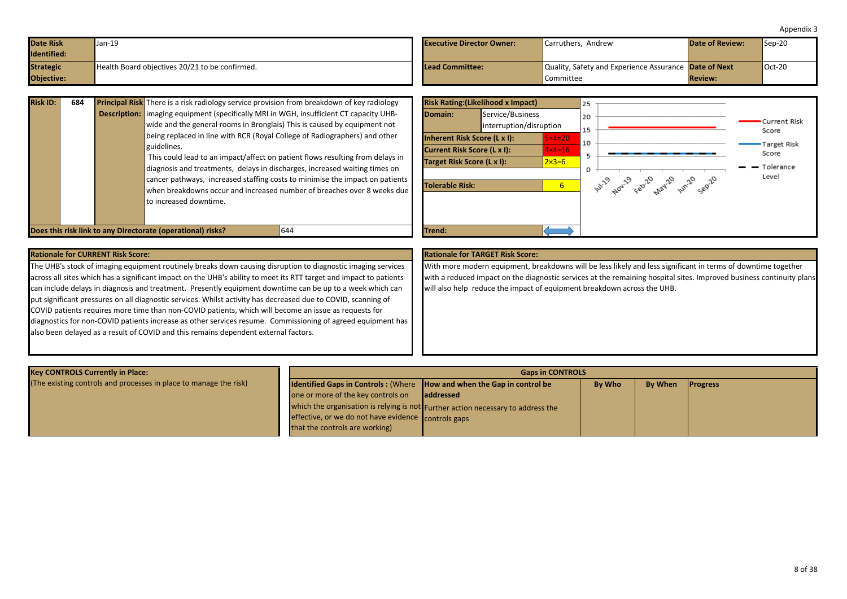<span id="page-7-0"></span>

| <b>Date Risk</b> | Jan-19                                         | <b>Executive Director Owner:</b> | Carruthers, Andrew                                    | Date of Review: | $\textsf{I}$ Sep-20 |
|------------------|------------------------------------------------|----------------------------------|-------------------------------------------------------|-----------------|---------------------|
| Identified:      |                                                |                                  |                                                       |                 |                     |
| <b>Strategic</b> | Health Board objectives 20/21 to be confirmed. | Lead Committee:                  | Quality, Safety and Experience Assurance Date of Next |                 | $Oct-20$            |
| Objective:       |                                                |                                  | Committee                                             | <b>Review:</b>  |                     |

| <b>Risk ID:</b> | 684 |                                                                                                   | <b>Principal Risk</b> There is a risk radiology service provision from breakdown of key radiology                                                                           |                             |                                | <b>Risk Rating: (Likelihood x Impa</b> |  |
|-----------------|-----|---------------------------------------------------------------------------------------------------|-----------------------------------------------------------------------------------------------------------------------------------------------------------------------------|-----------------------------|--------------------------------|----------------------------------------|--|
|                 |     |                                                                                                   | <b>Description:</b>   imaging equipment (specifically MRI in WGH, insufficient CT capacity UHB-<br>wide and the general rooms in Bronglais) This is caused by equipment not | Domain:                     | Service/Busin<br>interruption/ |                                        |  |
|                 |     |                                                                                                   | being replaced in line with RCR (Royal College of Radiographers) and other<br>guidelines.                                                                                   |                             |                                | Inherent Risk Score (L x I):           |  |
|                 |     |                                                                                                   |                                                                                                                                                                             | Current Risk Score (L x I): |                                |                                        |  |
|                 |     |                                                                                                   | This could lead to an impact/affect on patient flows resulting from delays in                                                                                               |                             | Target Risk Score (L x I):     |                                        |  |
|                 |     |                                                                                                   | diagnosis and treatments, delays in discharges, increased waiting times on                                                                                                  |                             |                                |                                        |  |
|                 |     |                                                                                                   | cancer pathways, increased staffing costs to minimise the impact on patients                                                                                                | Tolerable Risk:             |                                |                                        |  |
|                 |     | when breakdowns occur and increased number of breaches over 8 weeks due<br>to increased downtime. |                                                                                                                                                                             |                             |                                |                                        |  |
|                 |     |                                                                                                   | Does this risk link to any Directorate (operational) risks?<br>644                                                                                                          |                             | Trend:                         |                                        |  |



### **Rationale for CURRENT Risk Score: Rationale for TARGET Risk Score:**

The UHB's stock of imaging equipment routinely breaks down causing disruption to diagnostic imaging services across all sites which has a significant impact on the UHB's ability to meet its RTT target and impact to patients can include delays in diagnosis and treatment. Presently equipment downtime can be up to a week which can put significant pressures on all diagnostic services. Whilst activity has decreased due to COVID, scanning of COVID patients requires more time than non-COVID patients, which will become an issue as requests for diagnostics for non-COVID patients increase as other services resume. Commissioning of agreed equipment has also been delayed as a result of COVID and this remains dependent external factors.

With more modern equipment, breakdowns will be less likely and less significant in terms of downtime together with a reduced impact on the diagnostic services at the remaining hospital sites. Improved business continuity plans will also help reduce the impact of equipment breakdown across the UHB.

| <b>Key CONTROLS Currently in Place:</b>                           |                                                                                      | <b>Gaps in CONTROLS</b>                                                          |               |                |                 |  |  |  |  |
|-------------------------------------------------------------------|--------------------------------------------------------------------------------------|----------------------------------------------------------------------------------|---------------|----------------|-----------------|--|--|--|--|
| (The existing controls and processes in place to manage the risk) | <b>Identified Gaps in Controls:</b> (Where <b>How and when the Gap in control be</b> |                                                                                  | <b>By Who</b> | <b>By When</b> | <b>Progress</b> |  |  |  |  |
|                                                                   | one or more of the key controls on                                                   | laddressed                                                                       |               |                |                 |  |  |  |  |
|                                                                   |                                                                                      | which the organisation is relying is not Further action necessary to address the |               |                |                 |  |  |  |  |
|                                                                   | effective, or we do not have evidence controls gaps                                  |                                                                                  |               |                |                 |  |  |  |  |
|                                                                   | that the controls are working)                                                       |                                                                                  |               |                |                 |  |  |  |  |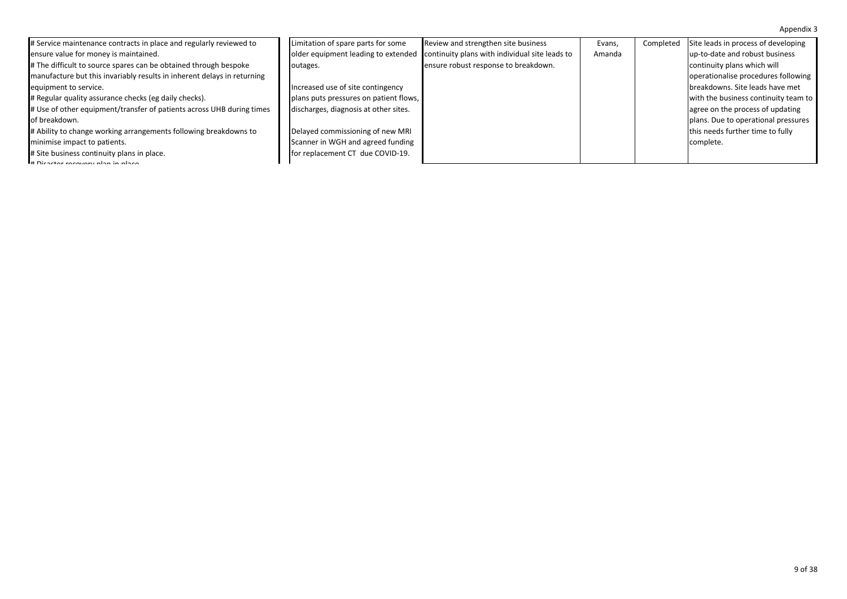| # Service maintenance contracts in place and regularly reviewed to      | Limitation of spare parts for some     | Review and strengthen site business            | Evans, | Completed | Site leads in process of developing  |
|-------------------------------------------------------------------------|----------------------------------------|------------------------------------------------|--------|-----------|--------------------------------------|
| ensure value for money is maintained.                                   | older equipment leading to extended    | continuity plans with individual site leads to | Amanda |           | up-to-date and robust business       |
| # The difficult to source spares can be obtained through bespoke        | outages.                               | ensure robust response to breakdown.           |        |           | continuity plans which will          |
| manufacture but this invariably results in inherent delays in returning |                                        |                                                |        |           | operationalise procedures following  |
| equipment to service.                                                   | Increased use of site contingency      |                                                |        |           | breakdowns. Site leads have met      |
| # Regular quality assurance checks (eg daily checks).                   | plans puts pressures on patient flows, |                                                |        |           | with the business continuity team to |
| # Use of other equipment/transfer of patients across UHB during times   | discharges, diagnosis at other sites.  |                                                |        |           | agree on the process of updating     |
| of breakdown.                                                           |                                        |                                                |        |           | plans. Due to operational pressures  |
| # Ability to change working arrangements following breakdowns to        | Delayed commissioning of new MRI       |                                                |        |           | this needs further time to fully     |
| minimise impact to patients.                                            | Scanner in WGH and agreed funding      |                                                |        |           | complete.                            |
| # Site business continuity plans in place.                              | for replacement CT due COVID-19.       |                                                |        |           |                                      |
| H Disastor recovery plan in place                                       |                                        |                                                |        |           |                                      |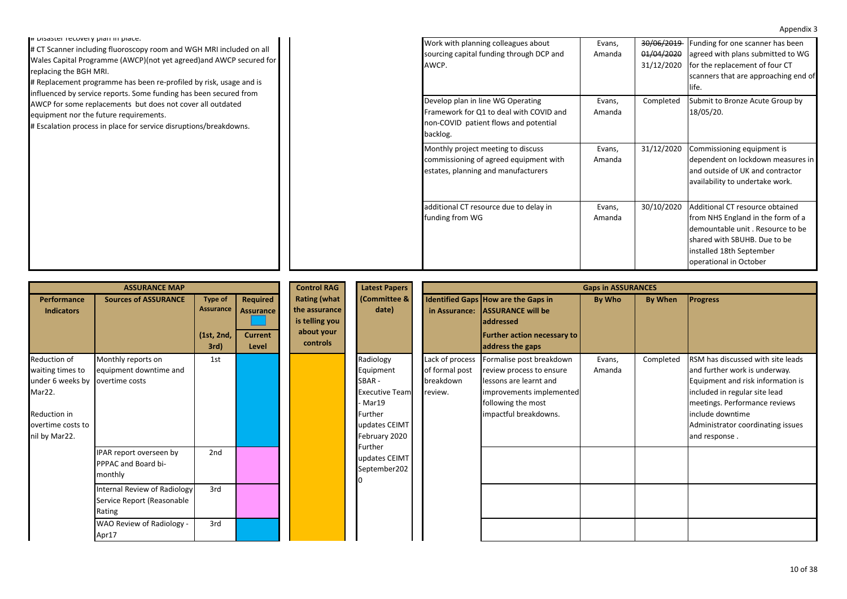| I# Disaster recovery plan in place.                                 | Work with planning colleagues about      | Evans, | 30/06/2019 | Funding for one scanner has been     |
|---------------------------------------------------------------------|------------------------------------------|--------|------------|--------------------------------------|
| # CT Scanner including fluoroscopy room and WGH MRI included on all | sourcing capital funding through DCP and | Amanda | 01/04/2020 | agreed with plans submitted to WG    |
| Wales Capital Programme (AWCP)(not yet agreed) and AWCP secured for | AWCP.                                    |        | 31/12/2020 | for the replacement of four CT       |
| replacing the BGH MRI.                                              |                                          |        |            | scanners that are approaching end of |
| # Replacement programme has been re-profiled by risk, usage and is  |                                          |        |            | life.                                |
| influenced by service reports. Some funding has been secured from   | Develop plan in line WG Operating        |        | Completed  | Submit to Bronze Acute Group by      |
| AWCP for some replacements but does not cover all outdated          |                                          | Evans, |            |                                      |
| equipment nor the future requirements.                              | Framework for Q1 to deal with COVID and  | Amanda |            | 18/05/20.                            |
| # Escalation process in place for service disruptions/breakdowns.   | non-COVID patient flows and potential    |        |            |                                      |
|                                                                     | backlog.                                 |        |            |                                      |
|                                                                     | Monthly project meeting to discuss       | Evans, | 31/12/2020 | Commissioning equipment is           |
|                                                                     | commissioning of agreed equipment with   | Amanda |            | dependent on lockdown measures in    |
|                                                                     | estates, planning and manufacturers      |        |            | and outside of UK and contractor     |
|                                                                     |                                          |        |            | availability to undertake work.      |
|                                                                     |                                          |        |            |                                      |
|                                                                     | additional CT resource due to delay in   | Evans, | 30/10/2020 | Additional CT resource obtained      |
|                                                                     | funding from WG                          | Amanda |            | from NHS England in the form of a    |
|                                                                     |                                          |        |            | demountable unit. Resource to be     |
|                                                                     |                                          |        |            |                                      |
|                                                                     |                                          |        |            | shared with SBUHB. Due to be         |
|                                                                     |                                          |        |            | installed 18th September             |
|                                                                     |                                          |        |            | operational in October               |

|                                                                                                                                     | <b>ASSURANCE MAP</b>                                                                                                                                                    |                                                   | <b>Control RAG</b>                               | <b>Latest Papers</b>                                                             | <b>Gaps in ASSURANCES</b>                                                                                        |                                                           |                                                                                                                                                           |                  |           |                                                                                                                                                                                                                                                     |
|-------------------------------------------------------------------------------------------------------------------------------------|-------------------------------------------------------------------------------------------------------------------------------------------------------------------------|---------------------------------------------------|--------------------------------------------------|----------------------------------------------------------------------------------|------------------------------------------------------------------------------------------------------------------|-----------------------------------------------------------|-----------------------------------------------------------------------------------------------------------------------------------------------------------|------------------|-----------|-----------------------------------------------------------------------------------------------------------------------------------------------------------------------------------------------------------------------------------------------------|
| Performance<br><b>Indicators</b>                                                                                                    | <b>Sources of ASSURANCE</b>                                                                                                                                             | <b>Type of</b><br>Assurance<br>(1st, 2nd,<br>3rd) | Required<br>Assurance<br><b>Current</b><br>Level | <b>Rating (what</b><br>the assurance<br>is telling you<br>about your<br>controls | (Committee &<br>date)                                                                                            | in Assurance:                                             | Identified Gaps How are the Gaps in<br><b>ASSURANCE will be</b><br>laddressed<br><b>Further action necessary to</b><br>address the gaps                   | By Who           | By When   | <b>Progress</b>                                                                                                                                                                                                                                     |
| Reduction of<br>waiting times to<br>under 6 weeks by overtime costs<br>Mar22.<br>Reduction in<br>overtime costs to<br>nil by Mar22. | Monthly reports on<br>equipment downtime and                                                                                                                            | 1st                                               |                                                  |                                                                                  | Radiology<br>Equipment<br>SBAR-<br><b>Executive Team</b><br>- Mar19<br>Further<br>updates CEIMT<br>February 2020 | Lack of process<br>of formal post<br>breakdown<br>review. | Formalise post breakdown<br>review process to ensure<br>lessons are learnt and<br>improvements implemented<br>following the most<br>impactful breakdowns. | Evans,<br>Amanda | Completed | RSM has discussed with site leads<br>and further work is underway.<br>Equipment and risk information is<br>included in regular site lead<br>meetings. Performance reviews<br>include downtime<br>Administrator coordinating issues<br>and response. |
|                                                                                                                                     | IPAR report overseen by<br>PPPAC and Board bi-<br>monthly<br>Internal Review of Radiology<br>Service Report (Reasonable<br>Rating<br>WAO Review of Radiology -<br>Apr17 | 2nd<br>3rd<br>3rd                                 |                                                  |                                                                                  | Further<br>updates CEIMT<br>September202                                                                         |                                                           |                                                                                                                                                           |                  |           |                                                                                                                                                                                                                                                     |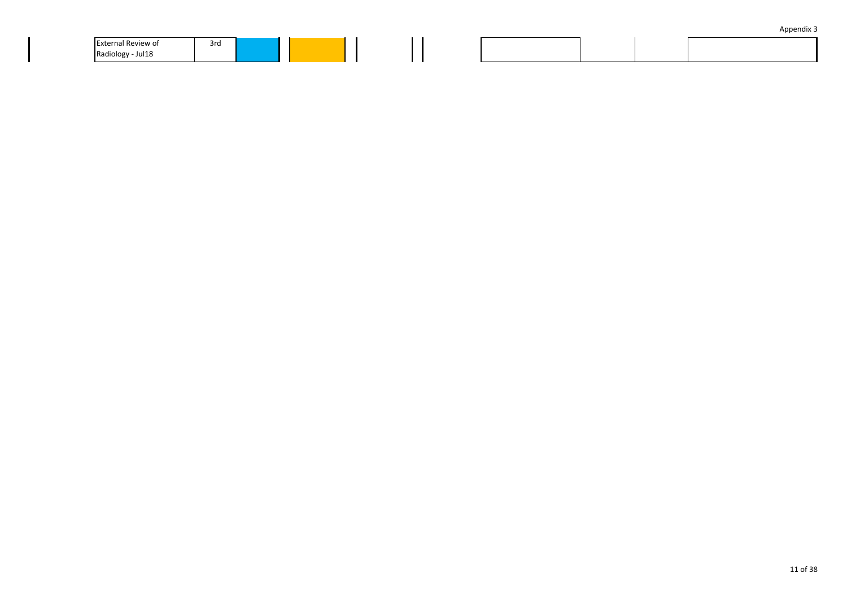| Appendix 3 |  |
|------------|--|
|            |  |

| <b>External Review of</b> | 3rd |  |  |  |  |
|---------------------------|-----|--|--|--|--|
| Radiology<br>- Jul 18     |     |  |  |  |  |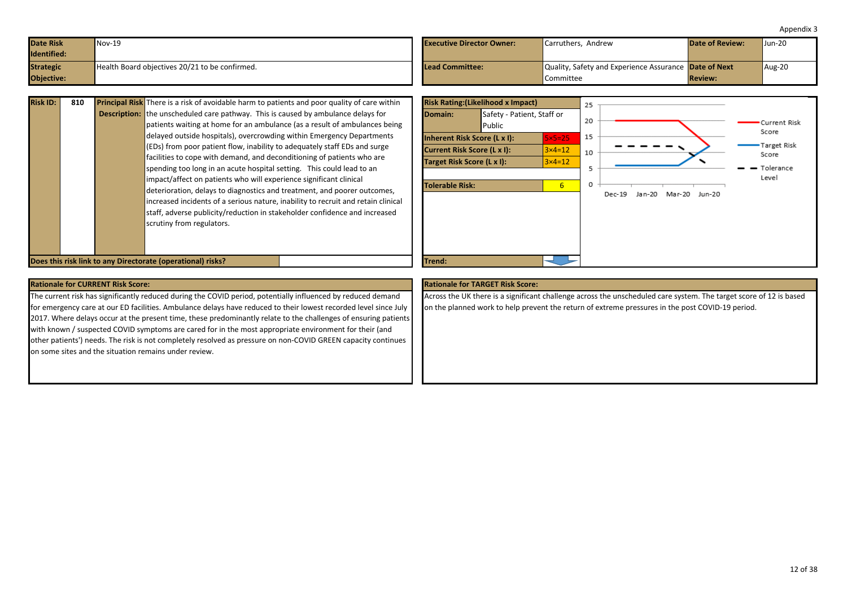<span id="page-11-0"></span>

| <b>Date Risk</b><br><b>Identified:</b> | $Nov-19$                                       | <b>Executive Director Owner:</b> | Carruthers. Andrew                                                 | <b>Date of Review:</b> | $J$ un-20 |
|----------------------------------------|------------------------------------------------|----------------------------------|--------------------------------------------------------------------|------------------------|-----------|
| <b>Strategic</b><br><b>Objective:</b>  | Health Board objectives 20/21 to be confirmed. | <b>ILead Committee:</b>          | Quality, Safety and Experience Assurance Date of Next<br>Committee | <b>Review:</b>         | Aug-20    |

| <b>Risk ID:</b> | 810 |                     | <b>Principal Risk</b> There is a risk of avoidable harm to patients and poor quality of care within |
|-----------------|-----|---------------------|-----------------------------------------------------------------------------------------------------|
|                 |     | <b>Description:</b> | the unscheduled care pathway. This is caused by ambulance delays for                                |
|                 |     |                     | patients waiting at home for an ambulance (as a result of ambulances being                          |
|                 |     |                     | delayed outside hospitals), overcrowding within Emergency Departments                               |
|                 |     |                     | (EDs) from poor patient flow, inability to adequately staff EDs and surge                           |
|                 |     |                     | facilities to cope with demand, and deconditioning of patients who are                              |
|                 |     |                     | spending too long in an acute hospital setting. This could lead to an                               |
|                 |     |                     | impact/affect on patients who will experience significant clinical                                  |
|                 |     |                     | deterioration, delays to diagnostics and treatment, and poorer outcomes,                            |
|                 |     |                     | increased incidents of a serious nature, inability to recruit and retain clinical                   |
|                 |     |                     | staff, adverse publicity/reduction in stakeholder confidence and increased                          |
|                 |     |                     | scrutiny from regulators.                                                                           |
|                 |     |                     |                                                                                                     |
|                 |     |                     |                                                                                                     |
|                 |     |                     |                                                                                                     |

**Does this risk link to any Directorate (operational) risks?** The control of the control of the control of the control of the control of the control of the control of the control of the control of the control of the contro



### **Rationale for CURRENT Risk Score: Rationale for TARGET Risk Score:**

The current risk has significantly reduced during the COVID period, potentially influenced by reduced demand for emergency care at our ED facilities. Ambulance delays have reduced to their lowest recorded level since July 2017. Where delays occur at the present time, these predominantly relate to the challenges of ensuring patients with known / suspected COVID symptoms are cared for in the most appropriate environment for their (and other patients') needs. The risk is not completely resolved as pressure on non-COVID GREEN capacity continues on some sites and the situation remains under review.

Across the UK there is a significant challenge across the unscheduled care system. The target score of 12 is based on the planned work to help prevent the return of extreme pressures in the post COVID-19 period.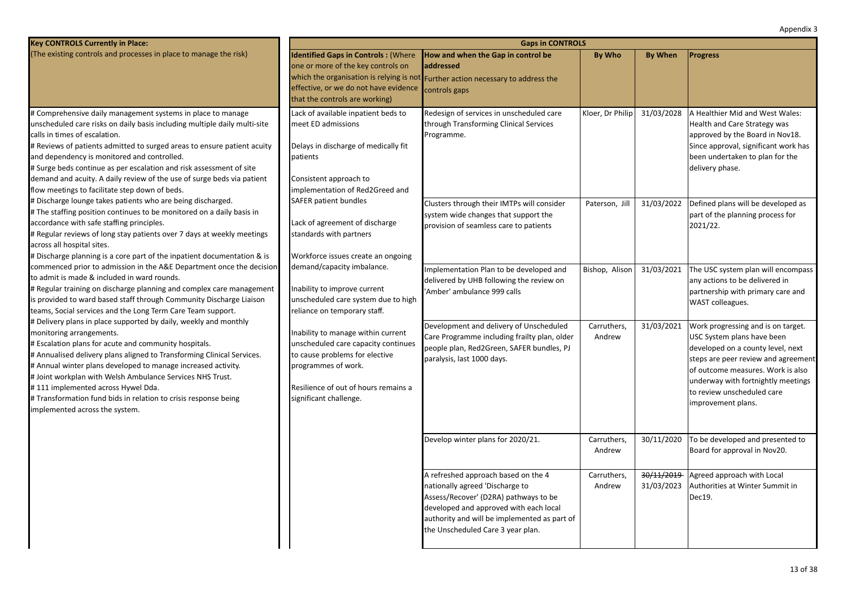| Key CONTROLS Currently in Place:                                                                                                                                                                                                                                                                                                                                                                                                                                                                         |                                                                                                                                                                                                                                                                                                                                           | <b>Gaps in CONTROLS</b>                                                                                                                                                                                                                        |                       |                          |                                                                                                                                                                                                                                                                             |  |  |  |  |
|----------------------------------------------------------------------------------------------------------------------------------------------------------------------------------------------------------------------------------------------------------------------------------------------------------------------------------------------------------------------------------------------------------------------------------------------------------------------------------------------------------|-------------------------------------------------------------------------------------------------------------------------------------------------------------------------------------------------------------------------------------------------------------------------------------------------------------------------------------------|------------------------------------------------------------------------------------------------------------------------------------------------------------------------------------------------------------------------------------------------|-----------------------|--------------------------|-----------------------------------------------------------------------------------------------------------------------------------------------------------------------------------------------------------------------------------------------------------------------------|--|--|--|--|
| (The existing controls and processes in place to manage the risk)                                                                                                                                                                                                                                                                                                                                                                                                                                        | <b>Identified Gaps in Controls: (Where</b><br>one or more of the key controls on<br>effective, or we do not have evidence<br>that the controls are working)                                                                                                                                                                               | How and when the Gap in control be<br>laddressed<br>which the organisation is relying is not Further action necessary to address the<br>controls gaps                                                                                          | <b>By Who</b>         | <b>By When</b>           | <b>Progress</b>                                                                                                                                                                                                                                                             |  |  |  |  |
| # Comprehensive daily management systems in place to manage<br>unscheduled care risks on daily basis including multiple daily multi-site<br>calls in times of escalation.<br># Reviews of patients admitted to surged areas to ensure patient acuity<br>and dependency is monitored and controlled.<br># Surge beds continue as per escalation and risk assessment of site<br>demand and acuity. A daily review of the use of surge beds via patient<br>flow meetings to facilitate step down of beds.   | Lack of available inpatient beds to<br>meet ED admissions<br>Delays in discharge of medically fit<br>patients<br>Consistent approach to<br>implementation of Red2Greed and                                                                                                                                                                | Redesign of services in unscheduled care<br>through Transforming Clinical Services<br>Programme.                                                                                                                                               | Kloer, Dr Philip      | 31/03/2028               | A Healthier Mid and West Wales:<br>Health and Care Strategy was<br>approved by the Board in Nov18.<br>Since approval, significant work has<br>been undertaken to plan for the<br>delivery phase.                                                                            |  |  |  |  |
| # Discharge lounge takes patients who are being discharged.<br># The staffing position continues to be monitored on a daily basis in<br>accordance with safe staffing principles.<br># Regular reviews of long stay patients over 7 days at weekly meetings<br>across all hospital sites.<br># Discharge planning is a core part of the inpatient documentation & is                                                                                                                                     | <b>SAFER patient bundles</b><br>Lack of agreement of discharge<br>standards with partners<br>Workforce issues create an ongoing                                                                                                                                                                                                           | Clusters through their IMTPs will consider<br>system wide changes that support the<br>provision of seamless care to patients                                                                                                                   | Paterson, Jill        | 31/03/2022               | Defined plans will be developed as<br>part of the planning process for<br>2021/22.                                                                                                                                                                                          |  |  |  |  |
| commenced prior to admission in the A&E Department once the decision<br>to admit is made & included in ward rounds.<br># Regular training on discharge planning and complex care management<br>is provided to ward based staff through Community Discharge Liaison<br>teams, Social services and the Long Term Care Team support.                                                                                                                                                                        | demand/capacity imbalance.<br>Inability to improve current<br>unscheduled care system due to high<br>reliance on temporary staff.<br>Inability to manage within current<br>unscheduled care capacity continues<br>to cause problems for elective<br>programmes of work.<br>Resilience of out of hours remains a<br>significant challenge. | Implementation Plan to be developed and<br>delivered by UHB following the review on<br>Amber' ambulance 999 calls                                                                                                                              | Bishop, Alison        | 31/03/2021               | The USC system plan will encompass<br>any actions to be delivered in<br>partnership with primary care and<br>WAST colleagues.                                                                                                                                               |  |  |  |  |
| # Delivery plans in place supported by daily, weekly and monthly<br>monitoring arrangements.<br># Escalation plans for acute and community hospitals.<br># Annualised delivery plans aligned to Transforming Clinical Services.<br># Annual winter plans developed to manage increased activity.<br># Joint workplan with Welsh Ambulance Services NHS Trust.<br>#111 implemented across Hywel Dda.<br># Transformation fund bids in relation to crisis response being<br>implemented across the system. |                                                                                                                                                                                                                                                                                                                                           | Development and delivery of Unscheduled<br>Care Programme including frailty plan, older<br>people plan, Red2Green, SAFER bundles, PJ<br>paralysis, last 1000 days.                                                                             | Carruthers,<br>Andrew | 31/03/2021               | Work progressing and is on target.<br>USC System plans have been<br>developed on a county level, next<br>steps are peer review and agreement<br>of outcome measures. Work is also<br>underway with fortnightly meetings<br>to review unscheduled care<br>improvement plans. |  |  |  |  |
|                                                                                                                                                                                                                                                                                                                                                                                                                                                                                                          |                                                                                                                                                                                                                                                                                                                                           | Develop winter plans for 2020/21.                                                                                                                                                                                                              | Carruthers,<br>Andrew | 30/11/2020               | To be developed and presented to<br>Board for approval in Nov20.                                                                                                                                                                                                            |  |  |  |  |
|                                                                                                                                                                                                                                                                                                                                                                                                                                                                                                          |                                                                                                                                                                                                                                                                                                                                           | A refreshed approach based on the 4<br>nationally agreed 'Discharge to<br>Assess/Recover' (D2RA) pathways to be<br>developed and approved with each local<br>authority and will be implemented as part of<br>the Unscheduled Care 3 year plan. | Carruthers,<br>Andrew | 30/11/2019<br>31/03/2023 | Agreed approach with Local<br>Authorities at Winter Summit in<br>Dec19.                                                                                                                                                                                                     |  |  |  |  |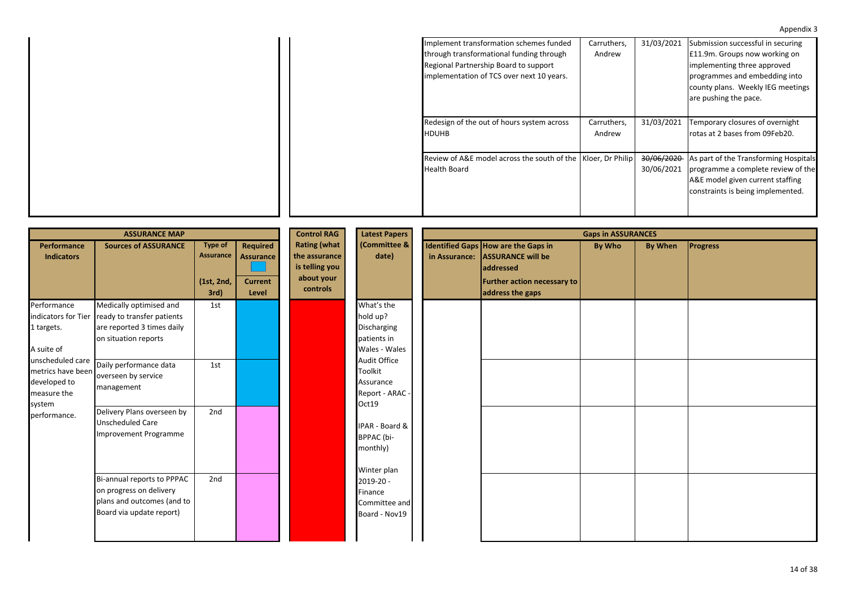| Implement transformation schemes funded                      | Carruthers, | 31/03/2021 | Submission successful in securing                |
|--------------------------------------------------------------|-------------|------------|--------------------------------------------------|
| through transformational funding through                     | Andrew      |            | E11.9m. Groups now working on                    |
| Regional Partnership Board to support                        |             |            | implementing three approved                      |
| implementation of TCS over next 10 years.                    |             |            | programmes and embedding into                    |
|                                                              |             |            | county plans. Weekly IEG meetings                |
|                                                              |             |            | are pushing the pace.                            |
|                                                              |             |            |                                                  |
| Redesign of the out of hours system across                   | Carruthers, | 31/03/2021 | Temporary closures of overnight                  |
| <b>HDUHB</b>                                                 | Andrew      |            | rotas at 2 bases from 09Feb20.                   |
|                                                              |             |            |                                                  |
| Review of A&E model across the south of the Kloer, Dr Philip |             |            | 30/06/2020 As part of the Transforming Hospitals |
| <b>Health Board</b>                                          |             | 30/06/2021 | programme a complete review of the               |
|                                                              |             |            | A&E model given current staffing                 |
|                                                              |             |            | constraints is being implemented.                |
|                                                              |             |            |                                                  |
|                                                              |             |            |                                                  |

|                                                                                | <b>ASSURANCE MAP</b>                                                                                            |                                                   |                                                  | <b>Control RAG</b>                                                               | <b>Latest Papers</b><br>(Committee &<br>date)                         | <b>Gaps in ASSURANCES</b> |                                                                                                                                                      |        |                |                 |
|--------------------------------------------------------------------------------|-----------------------------------------------------------------------------------------------------------------|---------------------------------------------------|--------------------------------------------------|----------------------------------------------------------------------------------|-----------------------------------------------------------------------|---------------------------|------------------------------------------------------------------------------------------------------------------------------------------------------|--------|----------------|-----------------|
| Performance<br><b>Indicators</b>                                               | <b>Sources of ASSURANCE</b>                                                                                     | <b>Type of</b><br>Assurance<br>(1st, 2nd,<br>3rd) | Required<br>Assurance<br><b>Current</b><br>Level | <b>Rating (what</b><br>the assurance<br>is telling you<br>about your<br>controls |                                                                       |                           | Identified Gaps How are the Gaps in<br>in Assurance: ASSURANCE will be<br><b>addressed</b><br><b>Further action necessary to</b><br>address the gaps | By Who | <b>By When</b> | <b>Progress</b> |
| Performance<br>indicators for Tier<br>1 targets.<br>A suite of                 | Medically optimised and<br>ready to transfer patients<br>are reported 3 times daily<br>on situation reports     | 1st                                               |                                                  |                                                                                  | What's the<br>hold up?<br>Discharging<br>patients in<br>Wales - Wales |                           |                                                                                                                                                      |        |                |                 |
| unscheduled care<br>metrics have been<br>developed to<br>measure the<br>system | Daily performance data<br>overseen by service<br>management                                                     | 1st                                               |                                                  |                                                                                  | Audit Office<br>Toolkit<br>Assurance<br>Report - ARAC -<br>Oct19      |                           |                                                                                                                                                      |        |                |                 |
| performance.                                                                   | Delivery Plans overseen by<br><b>Unscheduled Care</b><br>Improvement Programme                                  | 2nd                                               |                                                  |                                                                                  | IPAR - Board &<br>BPPAC (bi-<br>monthly)<br>Winter plan               |                           |                                                                                                                                                      |        |                |                 |
|                                                                                | Bi-annual reports to PPPAC<br>on progress on delivery<br>plans and outcomes (and to<br>Board via update report) | 2nd                                               |                                                  |                                                                                  | 2019-20 -<br>Finance<br>Committee and<br>Board - Nov19                |                           |                                                                                                                                                      |        |                |                 |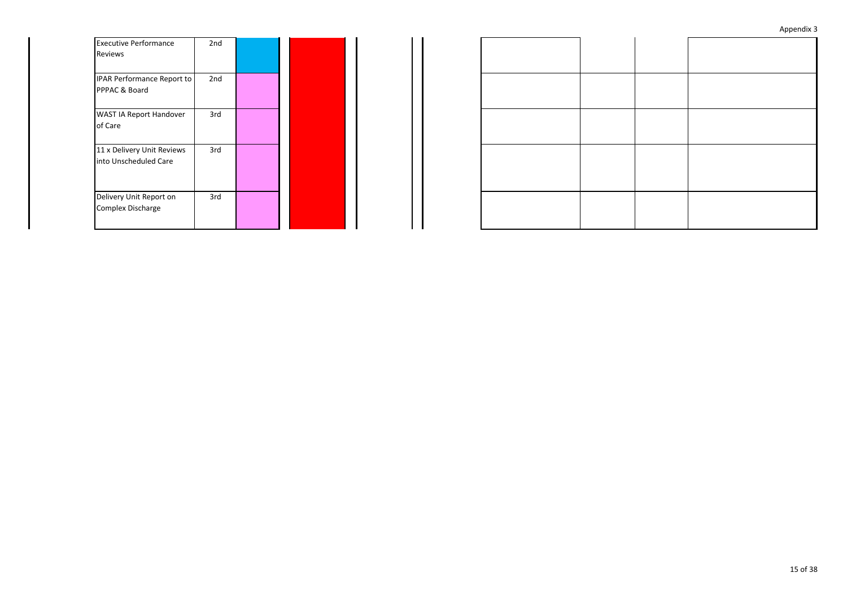| <b>Executive Performance</b><br>Reviews             | 2 <sub>nd</sub> |  |
|-----------------------------------------------------|-----------------|--|
| IPAR Performance Report to<br>PPPAC & Board         | 2nd             |  |
| WAST IA Report Handover<br>of Care                  | 3rd             |  |
| 11 x Delivery Unit Reviews<br>into Unscheduled Care | 3rd             |  |
| Delivery Unit Report on<br><b>Complex Discharge</b> | 3rd             |  |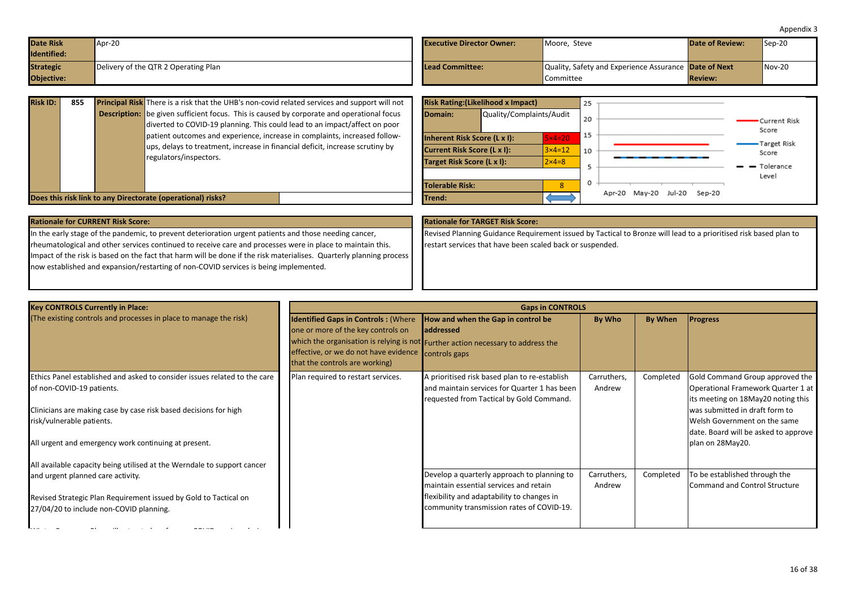<span id="page-15-0"></span>

| <b>Date Risk</b><br>Identified: | $Apr-20$                             | <b>Executive Director Owner:</b> | Moore, Steve                                          | <b>Date of Review:</b> | $Sep-20$ |
|---------------------------------|--------------------------------------|----------------------------------|-------------------------------------------------------|------------------------|----------|
| <b>Strategic</b>                | Delivery of the QTR 2 Operating Plan | <b>Lead Committee:</b>           | Quality, Safety and Experience Assurance Date of Next |                        | $Nov-20$ |
| Objective:                      |                                      |                                  | Committee                                             | <b>Review:</b>         |          |

| <b>Risk ID:</b> | 855 | <b>Principal Risk</b> There is a risk that the UHB's non-covid related services and support will not | <b>Risk Rating: (Likelihood x Impact)</b> |                          |                  | 25             |                             |                |
|-----------------|-----|------------------------------------------------------------------------------------------------------|-------------------------------------------|--------------------------|------------------|----------------|-----------------------------|----------------|
|                 |     | <b>Description:</b> be given sufficient focus. This is caused by corporate and operational focus     | Domain:                                   | Quality/Complaints/Audit |                  | 20             |                             | •Current Risk  |
|                 |     | diverted to COVID-19 planning. This could lead to an impact/affect on poor                           |                                           |                          |                  |                |                             | Score          |
|                 |     | patient outcomes and experience, increase in complaints, increased follow-                           | Inherent Risk Score (L x I):              |                          | $5\times 4=20$   |                |                             | Target Risk    |
|                 |     | ups, delays to treatment, increase in financial deficit, increase scrutiny by                        | <b>Current Risk Score (L x I):</b>        |                          | $3\times 4=12$   | $^{\prime}$ 10 |                             | Score          |
|                 |     | regulators/inspectors.                                                                               | Target Risk Score (L x I):                |                          | $2 \times 4 = 8$ |                |                             | $ -$ Tolerance |
|                 |     |                                                                                                      |                                           |                          |                  |                |                             | Level          |
|                 |     |                                                                                                      | <b>Tolerable Risk:</b>                    |                          |                  | U.             |                             |                |
|                 |     | Does this risk link to any Directorate (operational) risks?                                          | <b>Trend:</b>                             |                          |                  |                | Apr-20 May-20 Jul-20 Sep-20 |                |

| <b>Rationale for CURRENT Risk Score:</b>                                                                            | <b>Rationale for TARGET Risk Score:</b>                                                                          |
|---------------------------------------------------------------------------------------------------------------------|------------------------------------------------------------------------------------------------------------------|
| In the early stage of the pandemic, to prevent deterioration urgent patients and those needing cancer,              | Revised Planning Guidance Requirement issued by Tactical to Bronze will lead to a prioritised risk based plan to |
| rheumatological and other services continued to receive care and processes were in place to maintain this.          | restart services that have been scaled back or suspended.                                                        |
| Impact of the risk is based on the fact that harm will be done if the risk materialises. Quarterly planning process |                                                                                                                  |
| now established and expansion/restarting of non-COVID services is being implemented.                                |                                                                                                                  |
|                                                                                                                     |                                                                                                                  |

| <b>Key CONTROLS Currently in Place:</b>                                                                                                                                                                 |                                                                                                                                                             | <b>Gaps in CONTROLS</b>                                                                                                                                     |                       |           |                                                                                                                                                                               |
|---------------------------------------------------------------------------------------------------------------------------------------------------------------------------------------------------------|-------------------------------------------------------------------------------------------------------------------------------------------------------------|-------------------------------------------------------------------------------------------------------------------------------------------------------------|-----------------------|-----------|-------------------------------------------------------------------------------------------------------------------------------------------------------------------------------|
| (The existing controls and processes in place to manage the risk)                                                                                                                                       | <b>Identified Gaps in Controls: (Where</b><br>one or more of the key controls on<br>effective, or we do not have evidence<br>that the controls are working) | How and when the Gap in control be<br><b>addressed</b><br>which the organisation is relying is not Further action necessary to address the<br>controls gaps | By Who                | By When   | <b>Progress</b>                                                                                                                                                               |
| Ethics Panel established and asked to consider issues related to the care<br>of non-COVID-19 patients.<br>Clinicians are making case by case risk based decisions for high<br>risk/vulnerable patients. | Plan required to restart services.                                                                                                                          | A prioritised risk based plan to re-establish<br>and maintain services for Quarter 1 has been<br>requested from Tactical by Gold Command.                   | Carruthers,<br>Andrew | Completed | Gold Command Group approved the<br>Operational Framework Quarter 1 at<br>its meeting on 18May20 noting this<br>was submitted in draft form to<br>Welsh Government on the same |
| All urgent and emergency work continuing at present.<br>All available capacity being utilised at the Werndale to support cancer                                                                         |                                                                                                                                                             |                                                                                                                                                             |                       |           | date. Board will be asked to approve<br>plan on 28May20.                                                                                                                      |
| and urgent planned care activity.                                                                                                                                                                       |                                                                                                                                                             | Develop a quarterly approach to planning to<br>maintain essential services and retain                                                                       | Carruthers,<br>Andrew | Completed | To be established through the<br><b>Command and Control Structure</b>                                                                                                         |
| Revised Strategic Plan Requirement issued by Gold to Tactical on<br>27/04/20 to include non-COVID planning.                                                                                             |                                                                                                                                                             | flexibility and adaptability to changes in<br>community transmission rates of COVID-19.                                                                     |                       |           |                                                                                                                                                                               |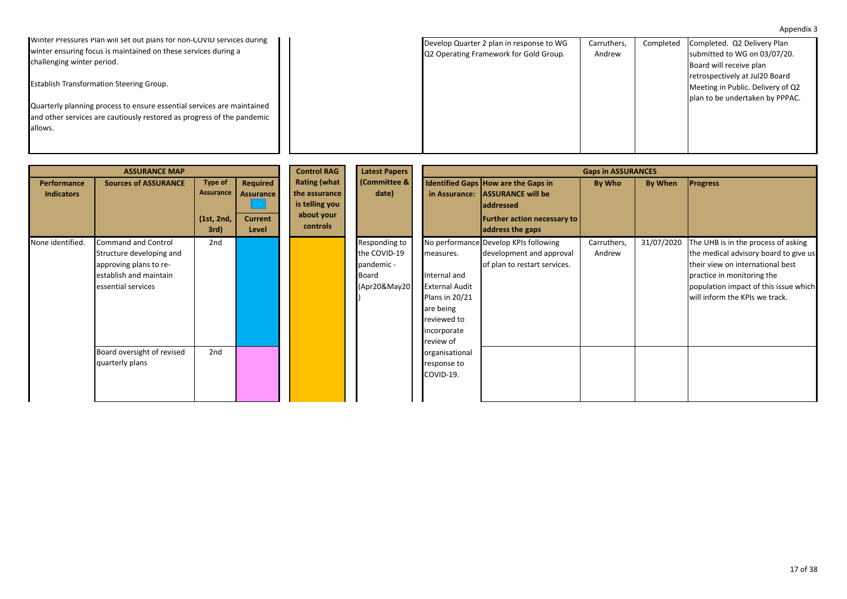17 of 38

# Appendix 3

| Winter Pressures Plan will set out plans for non-COVID services during |  | Develop Quarter 2 plan in response to WG | Carruthers. | Completed Completed. Q2 Delivery Plan |
|------------------------------------------------------------------------|--|------------------------------------------|-------------|---------------------------------------|
| winter ensuring focus is maintained on these services during a         |  | Q2 Operating Framework for Gold Group.   | Andrew      | submitted to WG on 03/07/20.          |
| challenging winter period.                                             |  |                                          |             | Board will receive plan               |
|                                                                        |  |                                          |             | retrospectively at Jul20 Board        |
| <b>Establish Transformation Steering Group.</b>                        |  |                                          |             | Meeting in Public. Delivery of Q2     |
|                                                                        |  |                                          |             | plan to be undertaken by PPPAC.       |

Quarterly planning process to ensure essential services are maintained and other services are cautiously restored as progress of the pandemic allows.

|                                  | <b>ASSURANCE MAP</b>                                                                                                             |                                                   |                                                         | <b>Control RAG</b>                                                   | <b>Latest Papers</b><br>(Committee &<br>date)<br>controls            |                                                                                                                                     |                                                                                                                                               | <b>Gaps in ASSURANCES</b> |            |                                                                                                                                                                                                                           |
|----------------------------------|----------------------------------------------------------------------------------------------------------------------------------|---------------------------------------------------|---------------------------------------------------------|----------------------------------------------------------------------|----------------------------------------------------------------------|-------------------------------------------------------------------------------------------------------------------------------------|-----------------------------------------------------------------------------------------------------------------------------------------------|---------------------------|------------|---------------------------------------------------------------------------------------------------------------------------------------------------------------------------------------------------------------------------|
| Performance<br><b>Indicators</b> | <b>Sources of ASSURANCE</b>                                                                                                      | <b>Type of</b><br>Assurance<br>(1st, 2nd,<br>3rd) | Required<br><b>Assurance</b><br><b>Current</b><br>Level | <b>Rating (what</b><br>the assurance<br>is telling you<br>about your |                                                                      | in Assurance:                                                                                                                       | Identified Gaps How are the Gaps in<br><b>ASSURANCE will be</b><br><b>addressed</b><br><b>Further action necessary to</b><br>address the gaps | By Who                    | By When    | <b>Progress</b>                                                                                                                                                                                                           |
| None identified.                 | <b>Command and Control</b><br>Structure developing and<br>approving plans to re-<br>establish and maintain<br>essential services | 2nd                                               |                                                         |                                                                      | Responding to<br>the COVID-19<br>pandemic -<br>Board<br>(Apr20&May20 | measures.<br>Internal and<br><b>External Audit</b><br><b>Plans in 20/21</b><br>are being<br>reviewed to<br>incorporate<br>review of | No performance Develop KPIs following<br>development and approval<br>of plan to restart services.                                             | Carruthers,<br>Andrew     | 31/07/2020 | The UHB is in the process of asking<br>the medical advisory board to give us<br>their view on international best<br>practice in monitoring the<br>population impact of this issue which<br>will inform the KPIs we track. |
|                                  | Board oversight of revised<br>quarterly plans                                                                                    | 2nd                                               |                                                         |                                                                      |                                                                      | organisational<br>response to<br>COVID-19.                                                                                          |                                                                                                                                               |                           |            |                                                                                                                                                                                                                           |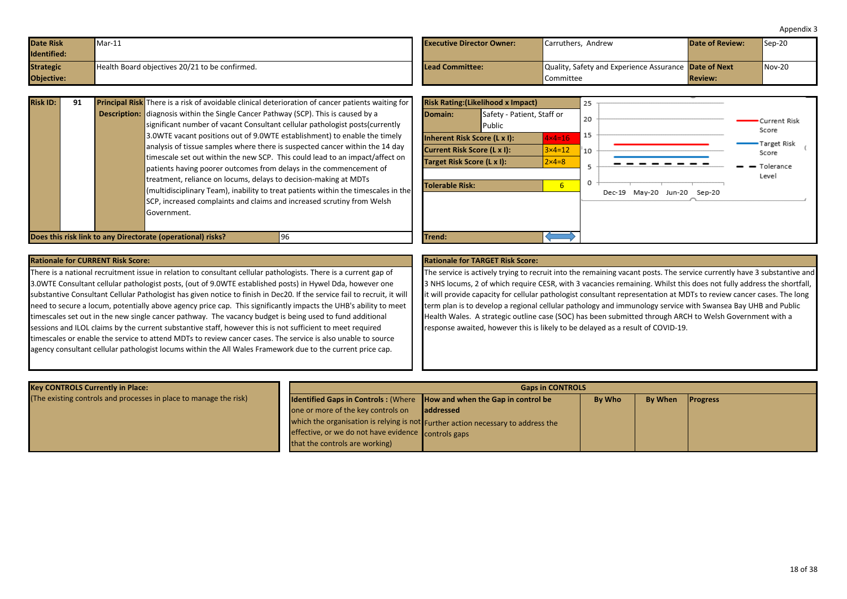<span id="page-17-0"></span>

| <b>Date Risk</b><br><b>Identified:</b> | Mar-11                                         | <b>Executive Director Owner:</b> | Carruthers, Andrew                                                        | <b>Date of Review:</b> | $Sep-20$ |
|----------------------------------------|------------------------------------------------|----------------------------------|---------------------------------------------------------------------------|------------------------|----------|
| <b>Strategic</b><br><b>Objective:</b>  | Health Board objectives 20/21 to be confirmed. | <b>ILead Committee:</b>          | Quality, Safety and Experience Assurance <b>Date of Next</b><br>Committee | <b>Review:</b>         | $Nov-20$ |

| <b>Risk ID:</b> | 91 |                     | <b>Principal Risk</b> There is a risk of avoidable clinical deterioration of cancer patients waiting for |
|-----------------|----|---------------------|----------------------------------------------------------------------------------------------------------|
|                 |    | <b>Description:</b> | diagnosis within the Single Cancer Pathway (SCP). This is caused by a                                    |
|                 |    |                     | significant number of vacant Consultant cellular pathologist posts (currently                            |
|                 |    |                     | 3.0WTE vacant positions out of 9.0WTE establishment) to enable the timely                                |
|                 |    |                     | analysis of tissue samples where there is suspected cancer within the 14 day                             |
|                 |    |                     | timescale set out within the new SCP. This could lead to an impact/affect on                             |
|                 |    |                     | patients having poorer outcomes from delays in the commencement of                                       |
|                 |    |                     | treatment, reliance on locums, delays to decision-making at MDTs                                         |
|                 |    |                     | (multidisciplinary Team), inability to treat patients within the timescales in the                       |
|                 |    |                     | SCP, increased complaints and claims and increased scrutiny from Welsh                                   |
|                 |    |                     | Government.                                                                                              |
|                 |    |                     |                                                                                                          |



There is a national recruitment issue in relation to consultant cellular pathologists. There is a current gap of 3.0WTE Consultant cellular pathologist posts, (out of 9.0WTE established posts) in Hywel Dda, however one substantive Consultant Cellular Pathologist has given notice to finish in Dec20. If the service fail to recruit, it will need to secure a locum, potentially above agency price cap. This significantly impacts the UHB's ability to meet timescales set out in the new single cancer pathway. The vacancy budget is being used to fund additional sessions and ILOL claims by the current substantive staff, however this is not sufficient to meet required timescales or enable the service to attend MDTs to review cancer cases. The service is also unable to source agency consultant cellular pathologist locums within the All Wales Framework due to the current price cap.

The service is actively trying to recruit into the remaining vacant posts. The service currently have 3 substantive and 3 NHS locums, 2 of which require CESR, with 3 vacancies remaining. Whilst this does not fully address the shortfall, it will provide capacity for cellular pathologist consultant representation at MDTs to review cancer cases. The long term plan is to develop a regional cellular pathology and immunology service with Swansea Bay UHB and Public Health Wales. A strategic outline case (SOC) has been submitted through ARCH to Welsh Government with a response awaited, however this is likely to be delayed as a result of COVID-19.

| <b>Key CONTROLS Currently in Place:</b>                           | <b>Gaps in CONTROLS</b>                                                       |                                                                                  |  |  |  |  |  |  |
|-------------------------------------------------------------------|-------------------------------------------------------------------------------|----------------------------------------------------------------------------------|--|--|--|--|--|--|
| (The existing controls and processes in place to manage the risk) | <b>Identified Gaps in Controls: (Where How and when the Gap in control be</b> | <b>Progress</b>                                                                  |  |  |  |  |  |  |
|                                                                   | one or more of the key controls on                                            | laddressed                                                                       |  |  |  |  |  |  |
|                                                                   |                                                                               | which the organisation is relying is not Further action necessary to address the |  |  |  |  |  |  |
|                                                                   | effective, or we do not have evidence controls gaps                           |                                                                                  |  |  |  |  |  |  |
|                                                                   | that the controls are working)                                                |                                                                                  |  |  |  |  |  |  |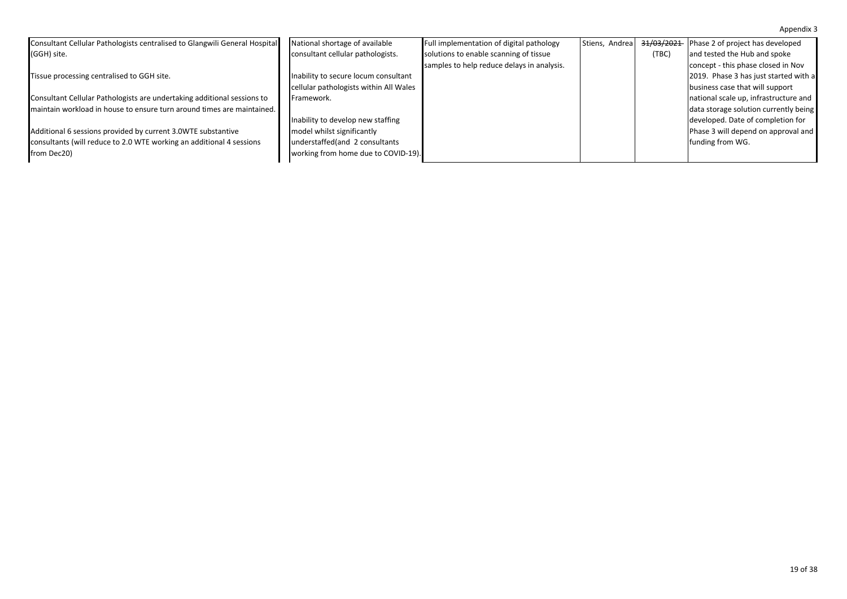| Consultant Cellular Pathologists centralised to Glangwili General Hospital | National shortage of available         | Full implementation of digital pathology   | Stiens, Andrea | <del>31/03/2021</del> | Phase 2 of project has developed      |
|----------------------------------------------------------------------------|----------------------------------------|--------------------------------------------|----------------|-----------------------|---------------------------------------|
| (GGH) site.                                                                | consultant cellular pathologists.      | solutions to enable scanning of tissue     |                | (TBC)                 | and tested the Hub and spoke          |
|                                                                            |                                        | samples to help reduce delays in analysis. |                |                       | concept - this phase closed in Nov    |
| Tissue processing centralised to GGH site.                                 | Inability to secure locum consultant   |                                            |                |                       | 2019. Phase 3 has just started with a |
|                                                                            | cellular pathologists within All Wales |                                            |                |                       | business case that will support       |
| Consultant Cellular Pathologists are undertaking additional sessions to    | Framework.                             |                                            |                |                       | national scale up, infrastructure and |
| maintain workload in house to ensure turn around times are maintained.     |                                        |                                            |                |                       | data storage solution currently being |
|                                                                            | Inability to develop new staffing      |                                            |                |                       | developed. Date of completion for     |
| Additional 6 sessions provided by current 3.0WTE substantive               | model whilst significantly             |                                            |                |                       | Phase 3 will depend on approval and   |
| consultants (will reduce to 2.0 WTE working an additional 4 sessions       | understaffed(and 2 consultants         |                                            |                |                       | funding from WG.                      |
| from Dec20)                                                                | working from home due to COVID-19).    |                                            |                |                       |                                       |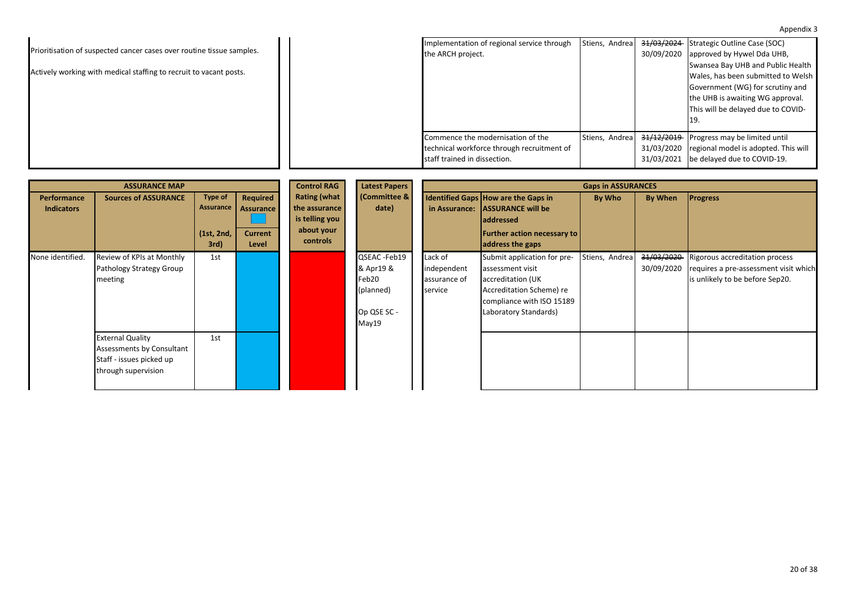|                                                                       | Implementation of regional service through | Stiens, Andrea |                       | 31/03/2024 Strategic Outline Case (SOC) |
|-----------------------------------------------------------------------|--------------------------------------------|----------------|-----------------------|-----------------------------------------|
| Prioritisation of suspected cancer cases over routine tissue samples. | the ARCH project.                          |                | 30/09/2020            | approved by Hywel Dda UHB,              |
|                                                                       |                                            |                |                       | Swansea Bay UHB and Public Health       |
| Actively working with medical staffing to recruit to vacant posts.    |                                            |                |                       | Wales, has been submitted to Welsh      |
|                                                                       |                                            |                |                       | Government (WG) for scrutiny and        |
|                                                                       |                                            |                |                       | the UHB is awaiting WG approval.        |
|                                                                       |                                            |                |                       | This will be delayed due to COVID-      |
|                                                                       |                                            |                |                       |                                         |
|                                                                       | Commence the modernisation of the          | Stiens, Andrea | <del>31/12/2019</del> | Progress may be limited until           |
|                                                                       | technical workforce through recruitment of |                | 31/03/2020            | regional model is adopted. This will    |
|                                                                       | staff trained in dissection.               |                | 31/03/2021            | be delayed due to COVID-19.             |

|                                         | <b>ASSURANCE MAP</b>                                                                                    |                                            |                                                  | <b>Control RAG</b>                                                               | <b>Latest Papers</b>                                                    |                                                   | <b>Gaps in ASSURANCES</b>                                                                                                                              |                |                          |                                                                                                            |  |
|-----------------------------------------|---------------------------------------------------------------------------------------------------------|--------------------------------------------|--------------------------------------------------|----------------------------------------------------------------------------------|-------------------------------------------------------------------------|---------------------------------------------------|--------------------------------------------------------------------------------------------------------------------------------------------------------|----------------|--------------------------|------------------------------------------------------------------------------------------------------------|--|
| <b>Performance</b><br><b>Indicators</b> | <b>Sources of ASSURANCE</b>                                                                             | Type of<br>Assurance<br>(1st, 2nd,<br>3rd) | Required<br>Assurance<br><b>Current</b><br>Level | <b>Rating (what</b><br>the assurance<br>is telling you<br>about your<br>controls | <b>(Committee &amp;</b><br>date)                                        | in Assurance:                                     | Identified Gaps How are the Gaps in<br><b>ASSURANCE will be</b><br>addressed<br><b>Further action necessary to</b><br>address the gaps                 | By Who         | <b>By When</b>           | <b>Progress</b>                                                                                            |  |
| None identified.                        | Review of KPIs at Monthly<br>Pathology Strategy Group<br>meeting                                        | 1st                                        |                                                  |                                                                                  | QSEAC -Feb19<br>& Apr19 &<br>Feb20<br>(planned)<br>Op QSE SC -<br>May19 | Lack of<br>independent<br>assurance of<br>service | Submit application for pre-<br>assessment visit<br>accreditation (UK<br>Accreditation Scheme) re<br>compliance with ISO 15189<br>Laboratory Standards) | Stiens, Andrea | 31/03/2020<br>30/09/2020 | Rigorous accreditation process<br>requires a pre-assessment visit which<br>is unlikely to be before Sep20. |  |
|                                         | <b>External Quality</b><br>Assessments by Consultant<br>Staff - issues picked up<br>through supervision | 1st                                        |                                                  |                                                                                  |                                                                         |                                                   |                                                                                                                                                        |                |                          |                                                                                                            |  |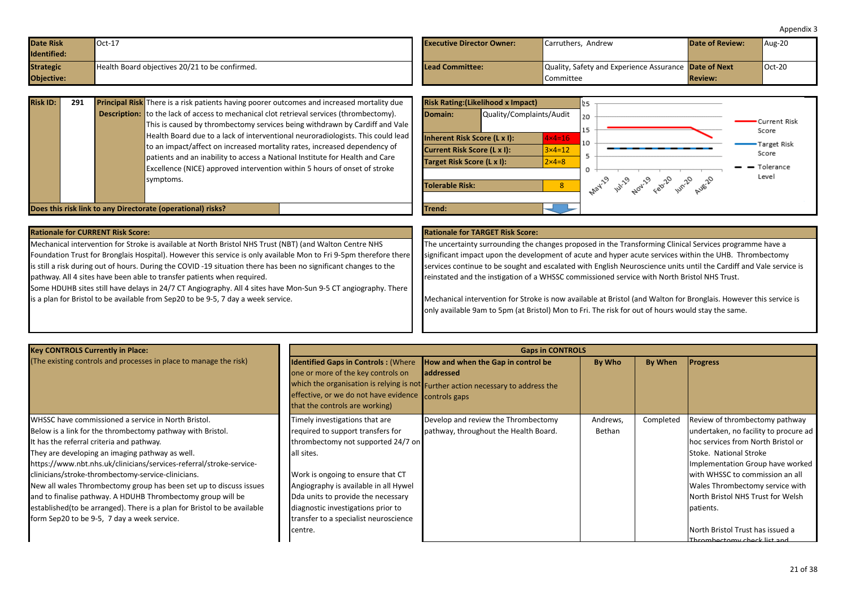<span id="page-20-0"></span>

| <b>Date Risk</b><br>Identified: | $Oct-17$                                       | <b>Executive Director Owner:</b> | Carruthers, Andrew                                           | Date of Review: | Aug-20   |
|---------------------------------|------------------------------------------------|----------------------------------|--------------------------------------------------------------|-----------------|----------|
| <b>Strategic</b>                | Health Board objectives 20/21 to be confirmed. | <b>Lead Committee:</b>           | Quality, Safety and Experience Assurance <b>Date of Next</b> |                 | $Oct-20$ |
| <b>Objective:</b>               |                                                |                                  | Committee                                                    | <b>Review:</b>  |          |

| <b>Risk ID:</b> | 291 | <b>Principal Risk</b> There is a risk patients having poorer outcomes and increased mortality due<br><b>Description:</b> to the lack of access to mechanical clot retrieval services (thrombectomy).<br>This is caused by thrombectomy services being withdrawn by Cardiff and Vale<br>Health Board due to a lack of interventional neuroradiologists. This could lead<br>to an impact/affect on increased mortality rates, increased dependency of<br>patients and an inability to access a National Institute for Health and Care<br>Excellence (NICE) approved intervention within 5 hours of onset of stroke<br>symptoms. | Domain:<br>Current Risk Score (L x I):<br>Target Risk Score (L x I):<br><b>Tolerable Risk:</b> | <b>Risk Rating: (Likelihood x Impact)</b><br>Quality/Complaints/Audit<br>Inherent Risk Score (L x I): | $4 \times 4 = 16$<br>$3 \times 4 = 12$<br>$2\times 4=8$<br>$\mathbf{R}$ | 20<br>10 | <b>WY</b> 204-29<br>$e^{2^{10}}$ | Current Risk<br>Score<br>Target Risk<br>Score<br>$ -$ Tolerance<br>Level |
|-----------------|-----|-------------------------------------------------------------------------------------------------------------------------------------------------------------------------------------------------------------------------------------------------------------------------------------------------------------------------------------------------------------------------------------------------------------------------------------------------------------------------------------------------------------------------------------------------------------------------------------------------------------------------------|------------------------------------------------------------------------------------------------|-------------------------------------------------------------------------------------------------------|-------------------------------------------------------------------------|----------|----------------------------------|--------------------------------------------------------------------------|
|                 |     | Does this risk link to any Directorate (operational) risks?                                                                                                                                                                                                                                                                                                                                                                                                                                                                                                                                                                   | <b>Trend:</b>                                                                                  |                                                                                                       |                                                                         |          |                                  |                                                                          |

| <b>Rationale for CURRENT RISK Score:</b>                                                                                                                                                                                                                                                                                                    |  |
|---------------------------------------------------------------------------------------------------------------------------------------------------------------------------------------------------------------------------------------------------------------------------------------------------------------------------------------------|--|
| Mechanical intervention for Stroke is available at North Bristol NHS Trust (NBT) (and Walton Centre NHS                                                                                                                                                                                                                                     |  |
| Foundation Trust for Bronglais Hospital). However this service is only available Mon to Fri 9-5pm therefore there                                                                                                                                                                                                                           |  |
| is still a risk during out of hours. During the COVID-19 situation there has been no significant changes to the                                                                                                                                                                                                                             |  |
| pathway. All 4 sites have been able to transfer patients when required.                                                                                                                                                                                                                                                                     |  |
| $\mathsf{R}_{\text{2}}$ and $\mathsf{R}_{\text{2}}$ in the set of the set of $\mathsf{R}_{\text{2}}$ of $\mathsf{A}_{\text{2}}$ of $\mathsf{R}_{\text{2}}$ and $\mathsf{R}_{\text{2}}$ is the set of $\mathsf{R}_{\text{2}}$ of $\mathsf{R}_{\text{2}}$ of $\mathsf{R}_{\text{2}}$ of $\mathsf{R}_{\text{2}}$ of $\mathsf{R}_{\text{2}}$ of |  |

Some HDUHB sites still have delays in 24/7 CT Angiography. All 4 sites have Mon-Sun 9-5 CT angiography. There is a plan for Bristol to be available from Sep20 to be 9-5, 7 day a week service.

### **Rationale for TARGET Risk Score:**

The uncertainty surrounding the changes proposed in the Transforming Clinical Services programme have a significant impact upon the development of acute and hyper acute services within the UHB. Thrombectomy services continue to be sought and escalated with English Neuroscience units until the Cardiff and Vale service is reinstated and the instigation of a WHSSC commissioned service with North Bristol NHS Trust.

Mechanical intervention for Stroke is now available at Bristol (and Walton for Bronglais. However this service is only available 9am to 5pm (at Bristol) Mon to Fri. The risk for out of hours would stay the same.

| <b>Key CONTROLS Currently in Place:</b>                                                                                                                                                                                                                                                                                                                                                                                                                                                                                                                                                                        |                                                                                                                                                                                                                                                                                                                                       | <b>Gaps in CONTROLS</b>                                                                                                                    |                    |           |                                                                                                                                                                                                                                                                                                                                                                         |
|----------------------------------------------------------------------------------------------------------------------------------------------------------------------------------------------------------------------------------------------------------------------------------------------------------------------------------------------------------------------------------------------------------------------------------------------------------------------------------------------------------------------------------------------------------------------------------------------------------------|---------------------------------------------------------------------------------------------------------------------------------------------------------------------------------------------------------------------------------------------------------------------------------------------------------------------------------------|--------------------------------------------------------------------------------------------------------------------------------------------|--------------------|-----------|-------------------------------------------------------------------------------------------------------------------------------------------------------------------------------------------------------------------------------------------------------------------------------------------------------------------------------------------------------------------------|
| (The existing controls and processes in place to manage the risk)                                                                                                                                                                                                                                                                                                                                                                                                                                                                                                                                              | <b>Identified Gaps in Controls: (Where</b><br>one or more of the key controls on<br>effective, or we do not have evidence controls gaps<br>that the controls are working)                                                                                                                                                             | How and when the Gap in control be<br><b>addressed</b><br>which the organisation is relying is not Further action necessary to address the | By Who             | By When   | <b>Progress</b>                                                                                                                                                                                                                                                                                                                                                         |
| WHSSC have commissioned a service in North Bristol.<br>Below is a link for the thrombectomy pathway with Bristol.<br>t has the referral criteria and pathway.<br>They are developing an imaging pathway as well.<br>https://www.nbt.nhs.uk/clinicians/services-referral/stroke-service-<br>clinicians/stroke-thrombectomy-service-clinicians.<br>New all wales Thrombectomy group has been set up to discuss issues<br>and to finalise pathway. A HDUHB Thrombectomy group will be<br>established (to be arranged). There is a plan for Bristol to be available<br>form Sep20 to be 9-5, 7 day a week service. | Timely investigations that are<br>required to support transfers for<br>thrombectomy not supported 24/7 on<br>all sites.<br>Work is ongoing to ensure that CT<br>Angiography is available in all Hywel<br>Dda units to provide the necessary<br>diagnostic investigations prior to<br>transfer to a specialist neuroscience<br>centre. | Develop and review the Thrombectomy<br>pathway, throughout the Health Board.                                                               | Andrews,<br>Bethan | Completed | Review of thrombectomy pathway<br>undertaken, no facility to procure ad<br>Thoc services from North Bristol or<br>Stoke. National Stroke<br>Implementation Group have worked<br>with WHSSC to commission an all<br>Wales Thrombectomy service with<br>North Bristol NHS Trust for Welsh<br>patients.<br>North Bristol Trust has issued a<br>Thrombectomy check list and |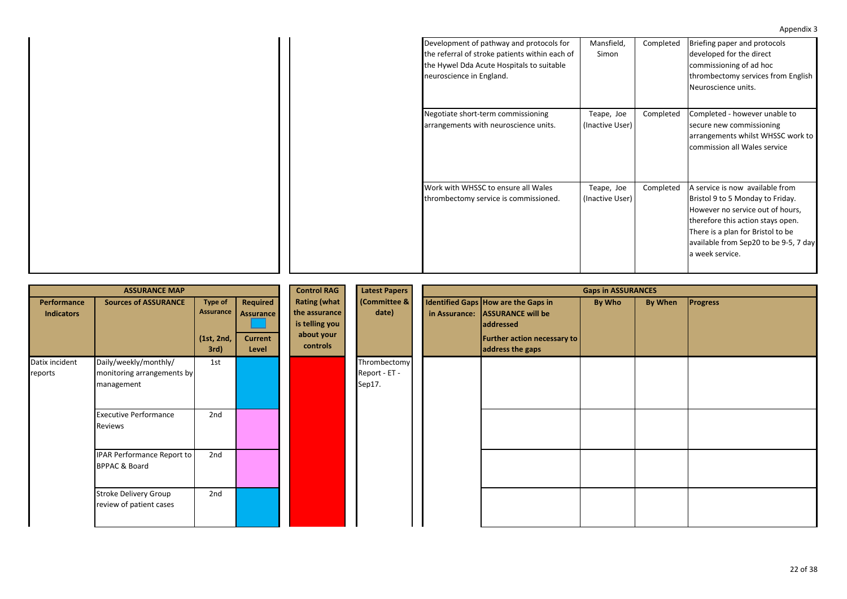| Development of pathway and protocols for<br>the referral of stroke patients within each of<br>the Hywel Dda Acute Hospitals to suitable<br>neuroscience in England. |
|---------------------------------------------------------------------------------------------------------------------------------------------------------------------|
| Negotiate short-term commissioning<br>arrangements with neuroscience units.                                                                                         |
| Work with WHSSC to ensure all Wales<br>thrombectomy service is commissioned.                                                                                        |

|                                         | <b>ASSURANCE MAP</b>                                              |                                                   |                                                         | <b>Control RAG</b>                                                               | <b>Latest Papers</b>                    | <b>Gaps in ASSURANCES</b> |                                                                                                                                        |        |                |                 |
|-----------------------------------------|-------------------------------------------------------------------|---------------------------------------------------|---------------------------------------------------------|----------------------------------------------------------------------------------|-----------------------------------------|---------------------------|----------------------------------------------------------------------------------------------------------------------------------------|--------|----------------|-----------------|
| <b>Performance</b><br><b>Indicators</b> | <b>Sources of ASSURANCE</b>                                       | <b>Type of</b><br>Assurance<br>(1st, 2nd,<br>3rd) | Required<br><b>Assurance</b><br><b>Current</b><br>Level | <b>Rating (what</b><br>the assurance<br>is telling you<br>about your<br>controls | (Committee &<br>date)                   |                           | Identified Gaps How are the Gaps in<br>in Assurance: ASSURANCE will be<br>addressed<br>Further action necessary to<br>address the gaps | By Who | <b>By When</b> | <b>Progress</b> |
| Datix incident<br>reports               | Daily/weekly/monthly/<br>monitoring arrangements by<br>management | 1st                                               |                                                         |                                                                                  | Thrombectomy<br>Report - ET -<br>Sep17. |                           |                                                                                                                                        |        |                |                 |
|                                         | <b>Executive Performance</b><br>Reviews                           | 2nd                                               |                                                         |                                                                                  |                                         |                           |                                                                                                                                        |        |                |                 |
|                                         | <b>IPAR Performance Report to</b><br><b>BPPAC &amp; Board</b>     | 2nd                                               |                                                         |                                                                                  |                                         |                           |                                                                                                                                        |        |                |                 |
|                                         | <b>Stroke Delivery Group</b><br>review of patient cases           | 2nd                                               |                                                         |                                                                                  |                                         |                           |                                                                                                                                        |        |                |                 |

22 of 38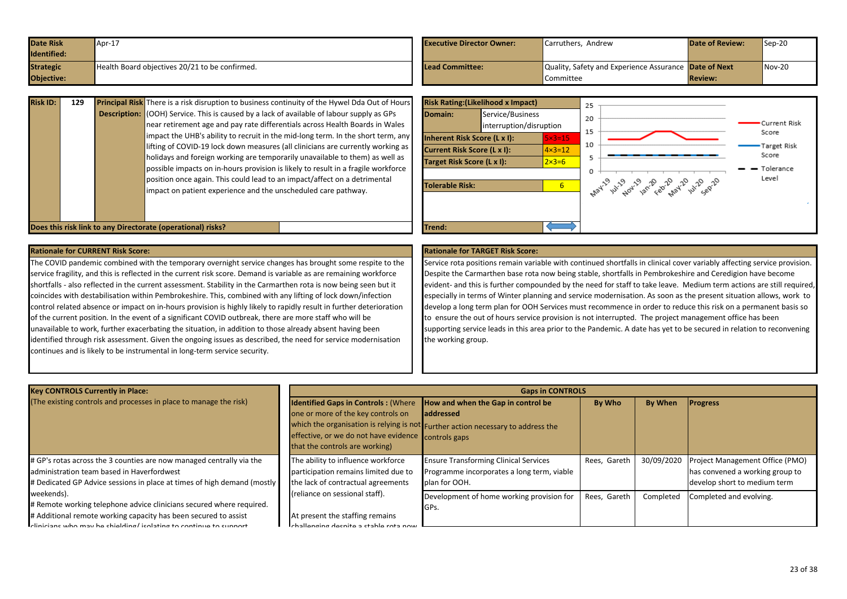<span id="page-22-0"></span>

| <b>Date Risk</b><br>Identified: | $\textsf{Apr-1}$                               | <b>Executive Director Owner:</b> | Carruthers, Andrew                                           | <b>Date of Review:</b> | $Sep-20$ |
|---------------------------------|------------------------------------------------|----------------------------------|--------------------------------------------------------------|------------------------|----------|
| <b>Strategic</b>                | Health Board objectives 20/21 to be confirmed. | Lead Committee:                  | Quality, Safety and Experience Assurance <b>Date of Next</b> |                        | $Nov-20$ |
| <b>Objective:</b>               |                                                |                                  | Committee                                                    | <b>Review:</b>         |          |

| <b>Risk ID:</b> | 129 | <b>Principal Risk</b> There is a risk disruption to business continuity of the Hywel Dda Out of Hours                                                                            | <b>Risk Rating: (Likelihood x Impact)</b> |                                             |                          |  |
|-----------------|-----|----------------------------------------------------------------------------------------------------------------------------------------------------------------------------------|-------------------------------------------|---------------------------------------------|--------------------------|--|
|                 |     | <b>Description:</b> (OOH) Service. This is caused by a lack of available of labour supply as GPs<br>near retirement age and pay rate differentials across Health Boards in Wales | Domain:                                   | Service/Business<br>interruption/disruption |                          |  |
|                 |     | impact the UHB's ability to recruit in the mid-long term. In the short term, any                                                                                                 | Inherent Risk Score (L x I):              |                                             | $5 \times 3 = 15$        |  |
|                 |     | lifting of COVID-19 lock down measures (all clinicians are currently working as                                                                                                  | Current Risk Score (L x I):               |                                             | $\sqrt{4 \times 3} = 12$ |  |
|                 |     | holidays and foreign working are temporarily unavailable to them) as well as<br>possible impacts on in-hours provision is likely to result in a fragile workforce                | Target Risk Score (L x I):                |                                             | $2 \times 3 = 6$         |  |
|                 |     | position once again. This could lead to an impact/affect on a detrimental<br>impact on patient experience and the unscheduled care pathway.                                      | Tolerable Risk:                           |                                             | 6                        |  |
|                 |     |                                                                                                                                                                                  |                                           |                                             |                          |  |
|                 |     | Does this risk link to any Directorate (operational) risks?                                                                                                                      | Trend:                                    |                                             |                          |  |



The COVID pandemic combined with the temporary overnight service changes has brought some respite to the service fragility, and this is reflected in the current risk score. Demand is variable as are remaining workforce shortfalls - also reflected in the current assessment. Stability in the Carmarthen rota is now being seen but it coincides with destabilisation within Pembrokeshire. This, combined with any lifting of lock down/infection control related absence or impact on in-hours provision is highly likely to rapidly result in further deterioration of the current position. In the event of a significant COVID outbreak, there are more staff who will be unavailable to work, further exacerbating the situation, in addition to those already absent having been identified through risk assessment. Given the ongoing issues as described, the need for service modernisation continues and is likely to be instrumental in long-term service security.

Service rota positions remain variable with continued shortfalls in clinical cover variably affecting service provision. Despite the Carmarthen base rota now being stable, shortfalls in Pembrokeshire and Ceredigion have become evident- and this is further compounded by the need for staff to take leave. Medium term actions are still required, especially in terms of Winter planning and service modernisation. As soon as the present situation allows, work to develop a long term plan for OOH Services must recommence in order to reduce this risk on a permanent basis so to ensure the out of hours service provision is not interrupted. The project management office has been supporting service leads in this area prior to the Pandemic. A date has yet to be secured in relation to reconvening the working group.

| <b>Key CONTROLS Currently in Place:</b>                                                                                                                                                                                   | <b>Gaps in CONTROLS</b>                                                                                                                                                   |                                                                                                                                             |              |            |                                                                                                    |  |  |  |  |
|---------------------------------------------------------------------------------------------------------------------------------------------------------------------------------------------------------------------------|---------------------------------------------------------------------------------------------------------------------------------------------------------------------------|---------------------------------------------------------------------------------------------------------------------------------------------|--------------|------------|----------------------------------------------------------------------------------------------------|--|--|--|--|
| (The existing controls and processes in place to manage the risk)                                                                                                                                                         | <b>Identified Gaps in Controls: (Where</b><br>one or more of the key controls on<br>effective, or we do not have evidence controls gaps<br>that the controls are working) | How and when the Gap in control be<br><b>laddressed</b><br>which the organisation is relying is not Further action necessary to address the | By Who       | By When    | <b>Progress</b>                                                                                    |  |  |  |  |
| # GP's rotas across the 3 counties are now managed centrally via the<br>administration team based in Haverfordwest<br># Dedicated GP Advice sessions in place at times of high demand (mostly)                            | The ability to influence workforce<br>participation remains limited due to<br>the lack of contractual agreements                                                          | <b>Ensure Transforming Clinical Services</b><br>Programme incorporates a long term, viable<br>plan for OOH.                                 | Rees, Gareth | 30/09/2020 | Project Management Office (PMO)<br>has convened a working group to<br>develop short to medium term |  |  |  |  |
| weekends).<br># Remote working telephone advice clinicians secured where required.<br># Additional remote working capacity has been secured to assist<br>clinicians who may be shielding/isolating to continue to support | (reliance on sessional staff).<br>At present the staffing remains<br>enging despite a stable rota now                                                                     | Development of home working provision for<br>IGPs.                                                                                          | Rees, Gareth | Completed  | Completed and evolving.                                                                            |  |  |  |  |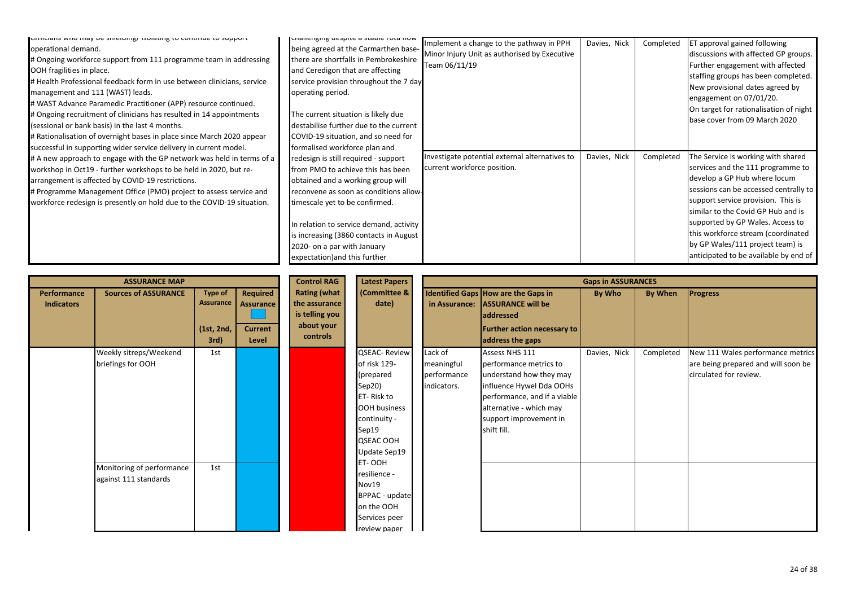| formulatis with may be sinefulligy isolating to continue to support<br>operational demand.<br># Ongoing workforce support from 111 programme team in addressing<br>OOH fragilities in place.<br># Health Professional feedback form in use between clinicians, service<br>management and 111 (WAST) leads.<br># WAST Advance Paramedic Practitioner (APP) resource continued.<br># Ongoing recruitment of clinicians has resulted in 14 appointments<br>(sessional or bank basis) in the last 4 months.<br># Rationalisation of overnight bases in place since March 2020 appear | unanchgnig ucspite a stable ruta nuw<br>being agreed at the Carmarthen base-<br>there are shortfalls in Pembrokeshire<br>and Ceredigon that are affecting<br>service provision throughout the 7 day<br>operating period.<br>The current situation is likely due<br>destabilise further due to the current<br>COVID-19 situation, and so need for | Implement a change to the pathway in PPH<br>Minor Injury Unit as authorised by Executive<br>Team 06/11/19 | Davies, Nick | Completed | <b>ET approval gained following</b><br>discussions with affected GP groups.<br>Further engagement with affected<br>staffing groups has been completed.<br>New provisional dates agreed by<br>engagement on 07/01/20.<br>On target for rationalisation of night<br>base cover from 09 March 2020                                                                                     |
|----------------------------------------------------------------------------------------------------------------------------------------------------------------------------------------------------------------------------------------------------------------------------------------------------------------------------------------------------------------------------------------------------------------------------------------------------------------------------------------------------------------------------------------------------------------------------------|--------------------------------------------------------------------------------------------------------------------------------------------------------------------------------------------------------------------------------------------------------------------------------------------------------------------------------------------------|-----------------------------------------------------------------------------------------------------------|--------------|-----------|-------------------------------------------------------------------------------------------------------------------------------------------------------------------------------------------------------------------------------------------------------------------------------------------------------------------------------------------------------------------------------------|
| successful in supporting wider service delivery in current model.                                                                                                                                                                                                                                                                                                                                                                                                                                                                                                                | formalised workforce plan and                                                                                                                                                                                                                                                                                                                    |                                                                                                           |              |           |                                                                                                                                                                                                                                                                                                                                                                                     |
| # A new approach to engage with the GP network was held in terms of a<br>workshop in Oct19 - further workshops to be held in 2020, but re-<br>arrangement is affected by COVID-19 restrictions.<br># Programme Management Office (PMO) project to assess service and<br>workforce redesign is presently on hold due to the COVID-19 situation.                                                                                                                                                                                                                                   | redesign is still required - support<br>from PMO to achieve this has been<br>obtained and a working group will<br>reconvene as soon as conditions allow-<br>timescale yet to be confirmed.<br>In relation to service demand, activity<br>is increasing (3860 contacts in August<br>2020- on a par with January<br>expectation) and this further  | Investigate potential external alternatives to<br>current workforce position.                             | Davies, Nick | Completed | The Service is working with shared<br>services and the 111 programme to<br>develop a GP Hub where locum<br>sessions can be accessed centrally to<br>support service provision. This is<br>similar to the Covid GP Hub and is<br>supported by GP Wales. Access to<br>this workforce stream (coordinated<br>by GP Wales/111 project team) is<br>anticipated to be available by end of |

|                                  | <b>ASSURANCE MAP</b>                               |                                            |                                                  | <b>Control RAG</b>                                                               | <b>Latest Papers</b>                                                                                                                                  |                                                     |                                                                                                                                                                                                     | <b>Gaps in ASSURANCES</b> |           |                                                                                                    |
|----------------------------------|----------------------------------------------------|--------------------------------------------|--------------------------------------------------|----------------------------------------------------------------------------------|-------------------------------------------------------------------------------------------------------------------------------------------------------|-----------------------------------------------------|-----------------------------------------------------------------------------------------------------------------------------------------------------------------------------------------------------|---------------------------|-----------|----------------------------------------------------------------------------------------------------|
| Performance<br><b>Indicators</b> | <b>Sources of ASSURANCE</b>                        | Type of<br>Assurance<br>(1st, 2nd,<br>3rd) | Required<br>Assurance<br><b>Current</b><br>Level | <b>Rating (what</b><br>the assurance<br>is telling you<br>about your<br>controls | (Committee &<br>date)                                                                                                                                 |                                                     | Identified Gaps How are the Gaps in<br><b>ASSURANCE will be</b><br>in Assurance:<br>addressed<br><b>Further action necessary to</b><br>address the gaps                                             | By Who                    | By When   | <b>Progress</b>                                                                                    |
|                                  | Weekly sitreps/Weekend<br>briefings for OOH        | 1st                                        |                                                  |                                                                                  | <b>QSEAC-Review</b><br>of risk 129-<br>(prepared<br>Sep20)<br>ET-Risk to<br><b>OOH business</b><br>continuity -<br>Sep19<br>QSEAC OOH<br>Update Sep19 | Lack of<br>meaningful<br>performance<br>indicators. | Assess NHS 111<br>performance metrics to<br>understand how they may<br>influence Hywel Dda OOHs<br>performance, and if a viable<br>alternative - which may<br>support improvement in<br>shift fill. | Davies, Nick              | Completed | New 111 Wales performance metrics<br>are being prepared and will soon be<br>circulated for review. |
|                                  | Monitoring of performance<br>against 111 standards | 1st                                        |                                                  |                                                                                  | ET-OOH<br>resilience -<br>Nov19<br><b>BPPAC</b> - update<br>on the OOH<br>Services peer<br>review paper                                               |                                                     |                                                                                                                                                                                                     |                           |           |                                                                                                    |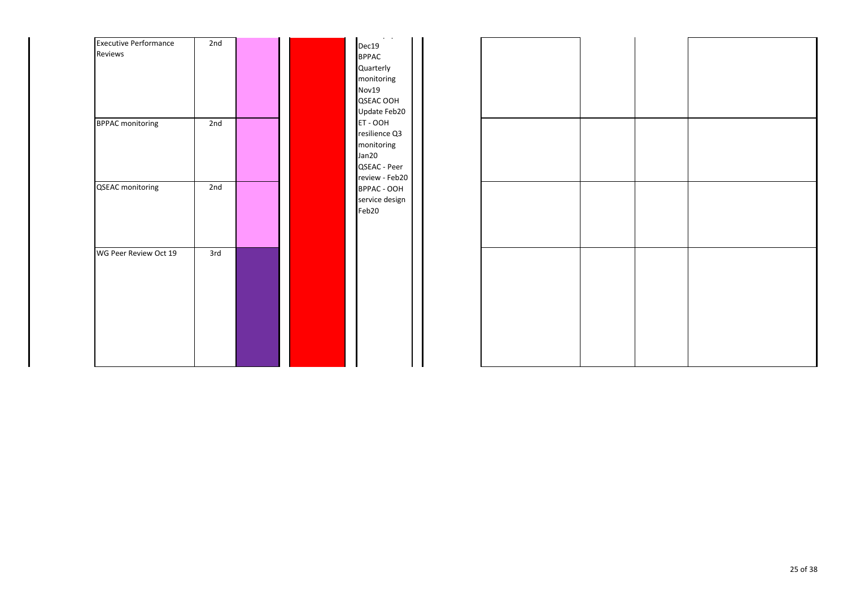| <b>Executive Performance</b> | 2nd |  |
|------------------------------|-----|--|
| Reviews                      |     |  |
| <b>BPPAC monitoring</b>      | 2nd |  |
| <b>QSEAC</b> monitoring      | 2nd |  |
| WG Peer Review Oct 19        | 3rd |  |

review paper Dec19 BPPAC Quarterly monitoring Nov19 QSEAC OOH Update Feb20 ET - OOH resilience Q3 monitoring Jan20 QSEAC - Peer review - Feb20 BPPAC - OOH service design Feb20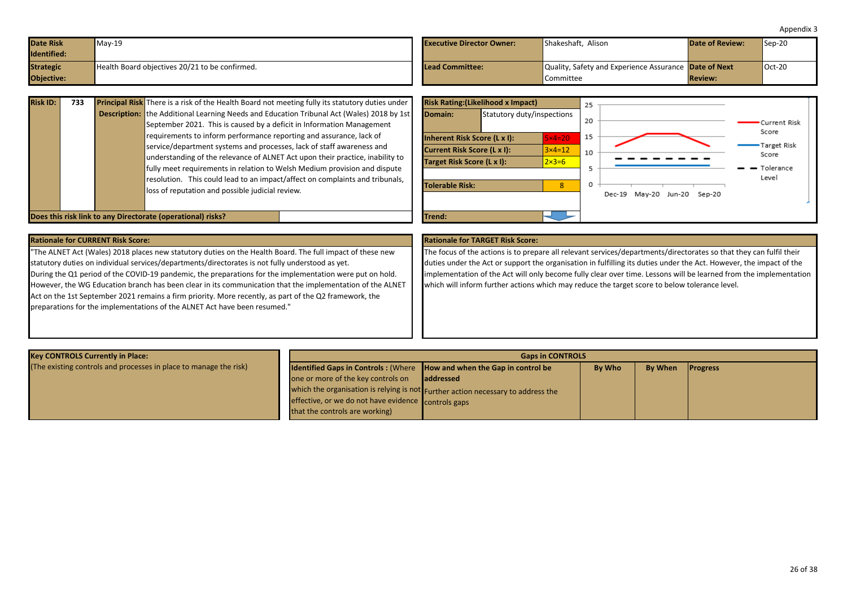<span id="page-25-0"></span>

| <b>Date Risk</b><br>Identified: | $May-19$                                       | <b>Executive Director Owner:</b> | Shakeshaft, Alison                                    | <b>Date of Review:</b> | $\textsf{Sep-20}$ |
|---------------------------------|------------------------------------------------|----------------------------------|-------------------------------------------------------|------------------------|-------------------|
| <b>Strategic</b>                | Health Board objectives 20/21 to be confirmed. | Lead Committee:                  | Quality, Safety and Experience Assurance Date of Next |                        | $Oct-20$          |
| <b>Objective:</b>               |                                                |                                  | Committee                                             | <b>Review:</b>         |                   |

| <b>Risk ID:</b> | 733 | <b>Principal Risk</b> There is a risk of the Health Board not meeting fully its statutory duties under<br><b>Description:</b> the Additional Learning Needs and Education Tribunal Act (Wales) 2018 by 1st<br>September 2021. This is caused by a deficit in Information Management<br>requirements to inform performance reporting and assurance, lack of<br>service/department systems and processes, lack of staff awareness and<br>understanding of the relevance of ALNET Act upon their practice, inability to<br>fully meet requirements in relation to Welsh Medium provision and dispute<br>resolution. This could lead to an impact/affect on complaints and tribunals,<br>loss of reputation and possible judicial review. | Domain:<br>Inherent Risk Score (L x I):<br>Current Risk Score (L x I):<br>Target Risk Score (L x I):<br>Tolerable Risk: | <b>Risk Rating: (Likelihood x Impact)</b><br>Statutory duty/inspections | $5\times4=20$<br>$3 \times 4 = 12$<br>$2 \times 3 = 6$ | 25<br>20<br>15<br>10 | Mav-20 Jun-20<br>Sep-20<br>Dec-19 | Current Risk<br>Score<br>Target Risk<br>Score<br>- Tolerance<br>Level |
|-----------------|-----|---------------------------------------------------------------------------------------------------------------------------------------------------------------------------------------------------------------------------------------------------------------------------------------------------------------------------------------------------------------------------------------------------------------------------------------------------------------------------------------------------------------------------------------------------------------------------------------------------------------------------------------------------------------------------------------------------------------------------------------|-------------------------------------------------------------------------------------------------------------------------|-------------------------------------------------------------------------|--------------------------------------------------------|----------------------|-----------------------------------|-----------------------------------------------------------------------|
|                 |     | Does this risk link to any Directorate (operational) risks?                                                                                                                                                                                                                                                                                                                                                                                                                                                                                                                                                                                                                                                                           | Trend:                                                                                                                  |                                                                         |                                                        |                      |                                   |                                                                       |

|  | <b>Rationale for CURRENT Risk Score:</b> |  |
|--|------------------------------------------|--|
|--|------------------------------------------|--|

"The ALNET Act (Wales) 2018 places new statutory duties on the Health Board. The full impact of these new statutory duties on individual services/departments/directorates is not fully understood as yet. During the Q1 period of the COVID-19 pandemic, the preparations for the implementation were put on hold.

However, the WG Education branch has been clear in its communication that the implementation of the ALNET Act on the 1st September 2021 remains a firm priority. More recently, as part of the Q2 framework, the preparations for the implementations of the ALNET Act have been resumed."

# **Rationale for TARGET Risk Score:**

The focus of the actions is to prepare all relevant services/departments/directorates so that they can fulfil their duties under the Act or support the organisation in fulfilling its duties under the Act. However, the impact of the implementation of the Act will only become fully clear over time. Lessons will be learned from the implementation which will inform further actions which may reduce the target score to below tolerance level.

| <b>Key CONTROLS Currently in Place:</b>                           | <b>Gaps in CONTROLS</b>                                                         |                                                                                  |               |                |                 |  |  |
|-------------------------------------------------------------------|---------------------------------------------------------------------------------|----------------------------------------------------------------------------------|---------------|----------------|-----------------|--|--|
| (The existing controls and processes in place to manage the risk) | <b>Identified Gaps in Controls: (Where   How and when the Gap in control be</b> |                                                                                  | <b>By Who</b> | <b>By When</b> | <b>Progress</b> |  |  |
|                                                                   | one or more of the key controls on                                              | laddressed                                                                       |               |                |                 |  |  |
|                                                                   |                                                                                 | which the organisation is relying is not Further action necessary to address the |               |                |                 |  |  |
|                                                                   | effective, or we do not have evidence controls gaps                             |                                                                                  |               |                |                 |  |  |
|                                                                   | that the controls are working)                                                  |                                                                                  |               |                |                 |  |  |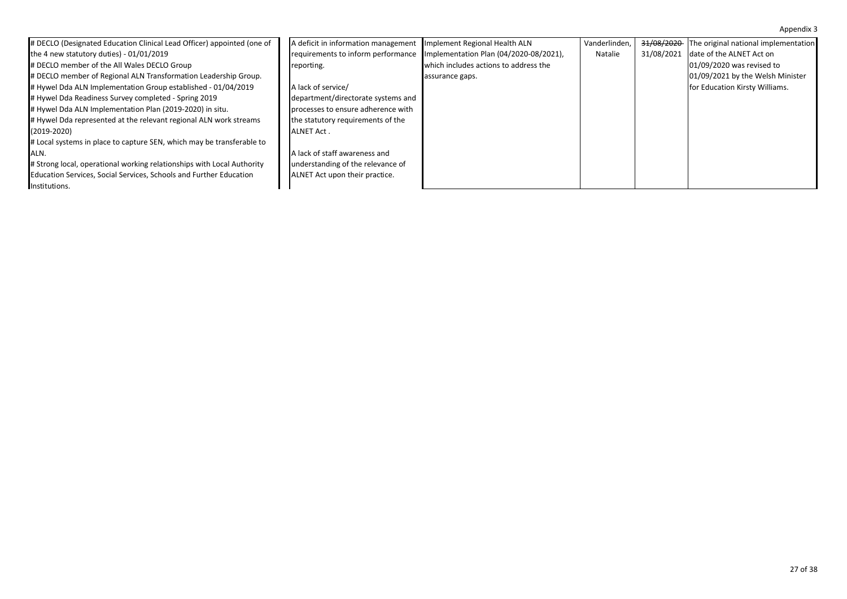| # DECLO (Designated Education Clinical Lead Officer) appointed (one of | A deficit in information management | Implement Regional Health ALN          | Vanderlinden, | <del>31/08/2020</del> | The original national implementation |
|------------------------------------------------------------------------|-------------------------------------|----------------------------------------|---------------|-----------------------|--------------------------------------|
| the 4 new statutory duties) - $01/01/2019$                             | requirements to inform performance  | Implementation Plan (04/2020-08/2021), | Natalie       | 31/08/2021            | date of the ALNET Act on             |
| # DECLO member of the All Wales DECLO Group                            | reporting.                          | which includes actions to address the  |               |                       | 01/09/2020 was revised to            |
| # DECLO member of Regional ALN Transformation Leadership Group.        |                                     | assurance gaps.                        |               |                       | 01/09/2021 by the Welsh Minister     |
| # Hywel Dda ALN Implementation Group established - 01/04/2019          | A lack of service/                  |                                        |               |                       | for Education Kirsty Williams.       |
| # Hywel Dda Readiness Survey completed - Spring 2019                   | department/directorate systems and  |                                        |               |                       |                                      |
| # Hywel Dda ALN Implementation Plan (2019-2020) in situ.               | processes to ensure adherence with  |                                        |               |                       |                                      |
| # Hywel Dda represented at the relevant regional ALN work streams      | the statutory requirements of the   |                                        |               |                       |                                      |
| $(2019 - 2020)$                                                        | <b>ALNET Act.</b>                   |                                        |               |                       |                                      |
| # Local systems in place to capture SEN, which may be transferable to  |                                     |                                        |               |                       |                                      |
| IALN.                                                                  | A lack of staff awareness and       |                                        |               |                       |                                      |
| # Strong local, operational working relationships with Local Authority | understanding of the relevance of   |                                        |               |                       |                                      |
| Education Services, Social Services, Schools and Further Education     | ALNET Act upon their practice.      |                                        |               |                       |                                      |
| Institutions.                                                          |                                     |                                        |               |                       |                                      |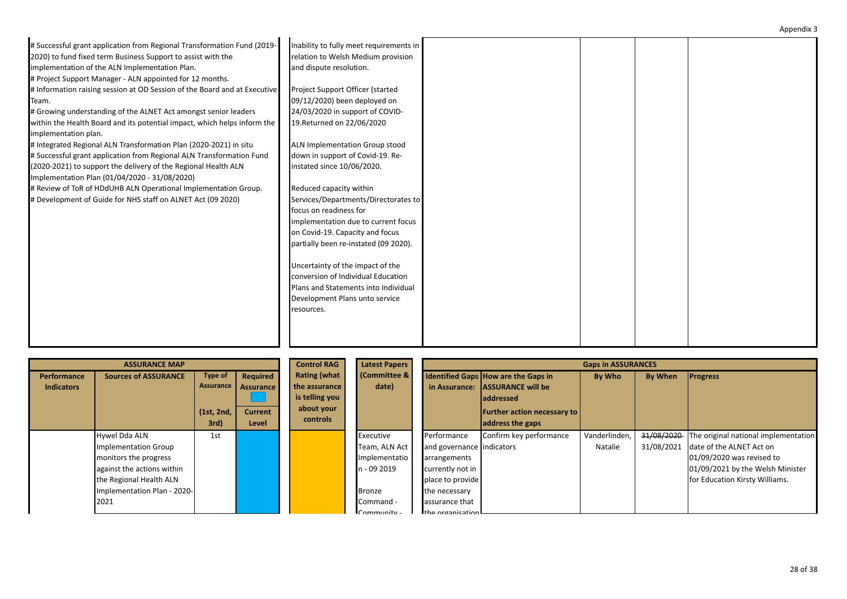| # Successful grant application from Regional Transformation Fund (2019-   | Inability to fully meet requirements in |  |  |
|---------------------------------------------------------------------------|-----------------------------------------|--|--|
|                                                                           |                                         |  |  |
| 2020) to fund fixed term Business Support to assist with the              | relation to Welsh Medium provision      |  |  |
| implementation of the ALN Implementation Plan.                            | and dispute resolution.                 |  |  |
| # Project Support Manager - ALN appointed for 12 months.                  |                                         |  |  |
| # Information raising session at OD Session of the Board and at Executive | Project Support Officer (started        |  |  |
| Team.                                                                     | 09/12/2020) been deployed on            |  |  |
| # Growing understanding of the ALNET Act amongst senior leaders           | 24/03/2020 in support of COVID-         |  |  |
| within the Health Board and its potential impact, which helps inform the  | 19. Returned on 22/06/2020              |  |  |
| implementation plan.                                                      |                                         |  |  |
| # Integrated Regional ALN Transformation Plan (2020-2021) in situ         | ALN Implementation Group stood          |  |  |
| # Successful grant application from Regional ALN Transformation Fund      | down in support of Covid-19. Re-        |  |  |
| (2020-2021) to support the delivery of the Regional Health ALN            | instated since 10/06/2020.              |  |  |
| Implementation Plan (01/04/2020 - 31/08/2020)                             |                                         |  |  |
| # Review of ToR of HDdUHB ALN Operational Implementation Group.           | Reduced capacity within                 |  |  |
| # Development of Guide for NHS staff on ALNET Act (09 2020)               | Services/Departments/Directorates to    |  |  |
|                                                                           | focus on readiness for                  |  |  |
|                                                                           | implementation due to current focus     |  |  |
|                                                                           | on Covid-19. Capacity and focus         |  |  |
|                                                                           | partially been re-instated (09 2020).   |  |  |
|                                                                           |                                         |  |  |
|                                                                           | Uncertainty of the impact of the        |  |  |
|                                                                           | conversion of Individual Education      |  |  |
|                                                                           | Plans and Statements into Individual    |  |  |
|                                                                           | Development Plans unto service          |  |  |
|                                                                           |                                         |  |  |
|                                                                           | resources.                              |  |  |
|                                                                           |                                         |  |  |
|                                                                           |                                         |  |  |
|                                                                           |                                         |  |  |

|                   | <b>ASSURANCE MAP</b>        |            |                  | <b>Control RAG</b>  | <b>Latest Papers</b> |                           |                                            | <b>Gaps in ASSURANCES</b> |                |                                      |
|-------------------|-----------------------------|------------|------------------|---------------------|----------------------|---------------------------|--------------------------------------------|---------------------------|----------------|--------------------------------------|
| Performance       | <b>Sources of ASSURANCE</b> | Type of    | Required         | <b>Rating (what</b> | (Committee &         |                           | <b>Identified Gaps How are the Gaps in</b> | By Who                    | <b>By When</b> | <b>Progress</b>                      |
| <b>Indicators</b> |                             | Assurance  | <b>Assurance</b> | the assurance       | date)                |                           | in Assurance: ASSURANCE will be            |                           |                |                                      |
|                   |                             |            |                  | is telling you      |                      |                           | <b>laddressed</b>                          |                           |                |                                      |
|                   |                             | (1st, 2nd, | <b>Current</b>   | about your          |                      |                           | <b>Further action necessary to</b>         |                           |                |                                      |
|                   |                             | 3rd)       | Level            | controls            |                      |                           | address the gaps                           |                           |                |                                      |
|                   | Hywel Dda ALN               | 1st        |                  |                     | Executive            | Performance               | Confirm key performance                    | Vanderlinden              | 31/08/2020     | The original national implementation |
|                   | Implementation Group        |            |                  |                     | Team, ALN Act        | and governance indicators |                                            | Natalie                   | 31/08/2021     | date of the ALNET Act on             |
|                   | monitors the progress       |            |                  |                     | Implementatio        | arrangements              |                                            |                           |                | 01/09/2020 was revised to            |
|                   | against the actions within  |            |                  |                     | n - 09 2019          | currently not in          |                                            |                           |                | 01/09/2021 by the Welsh Minister     |
|                   | the Regional Health ALN     |            |                  |                     |                      | place to provide          |                                            |                           |                | for Education Kirsty Williams.       |
|                   | Implementation Plan - 2020- |            |                  |                     | <b>Bronze</b>        | the necessary             |                                            |                           |                |                                      |
|                   | 2021                        |            |                  |                     | Command -            | assurance that            |                                            |                           |                |                                      |
|                   |                             |            |                  |                     | $Commoninity -$      | the organisation          |                                            |                           |                |                                      |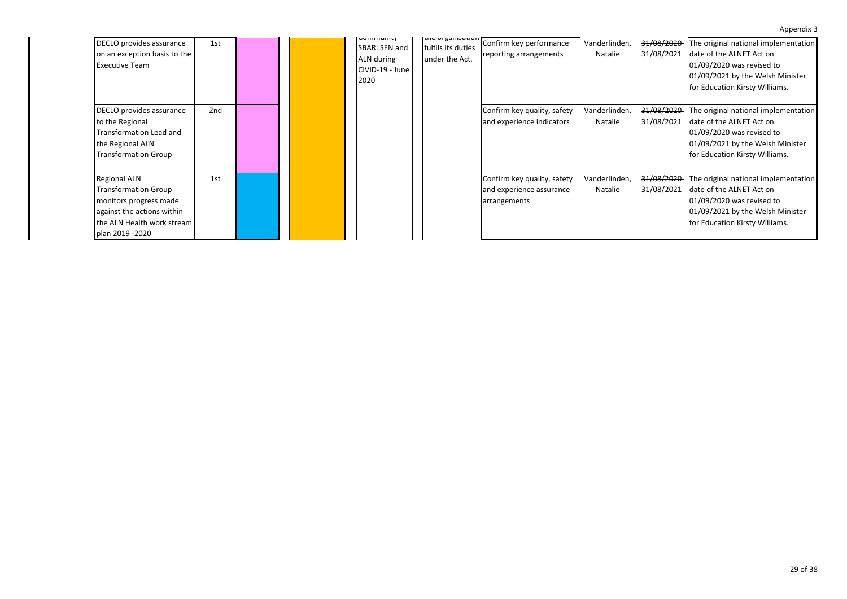| DECLO provides assurance<br>on an exception basis to the<br><b>Executive Team</b>                                                                           | 1st             |  | <b>COMMITTED</b><br>SBAR: SEN and<br>ALN during<br>CIVID-19 - June<br>2020 | LIIC UI BOITIJOLIUTI<br>fulfils its duties<br>under the Act. | Confirm key performance<br>reporting arrangements                       | Vanderlinden,<br>Natalie | 31/08/2020<br>31/08/2021 | The original national implementation<br>date of the ALNET Act on<br>01/09/2020 was revised to<br>01/09/2021 by the Welsh Minister<br>for Education Kirsty Williams. |
|-------------------------------------------------------------------------------------------------------------------------------------------------------------|-----------------|--|----------------------------------------------------------------------------|--------------------------------------------------------------|-------------------------------------------------------------------------|--------------------------|--------------------------|---------------------------------------------------------------------------------------------------------------------------------------------------------------------|
| DECLO provides assurance<br>to the Regional<br>Transformation Lead and<br>the Regional ALN<br><b>Transformation Group</b>                                   | 2 <sub>nd</sub> |  |                                                                            |                                                              | Confirm key quality, safety<br>and experience indicators                | Vanderlinden,<br>Natalie | 31/08/2020<br>31/08/2021 | The original national implementation<br>date of the ALNET Act on<br>01/09/2020 was revised to<br>01/09/2021 by the Welsh Minister<br>for Education Kirsty Williams. |
| <b>Regional ALN</b><br><b>Transformation Group</b><br>monitors progress made<br>against the actions within<br>the ALN Health work stream<br>plan 2019 -2020 | 1st             |  |                                                                            |                                                              | Confirm key quality, safety<br>and experience assurance<br>arrangements | Vanderlinden,<br>Natalie | 31/08/2020<br>31/08/2021 | The original national implementation<br>date of the ALNET Act on<br>01/09/2020 was revised to<br>01/09/2021 by the Welsh Minister<br>for Education Kirsty Williams. |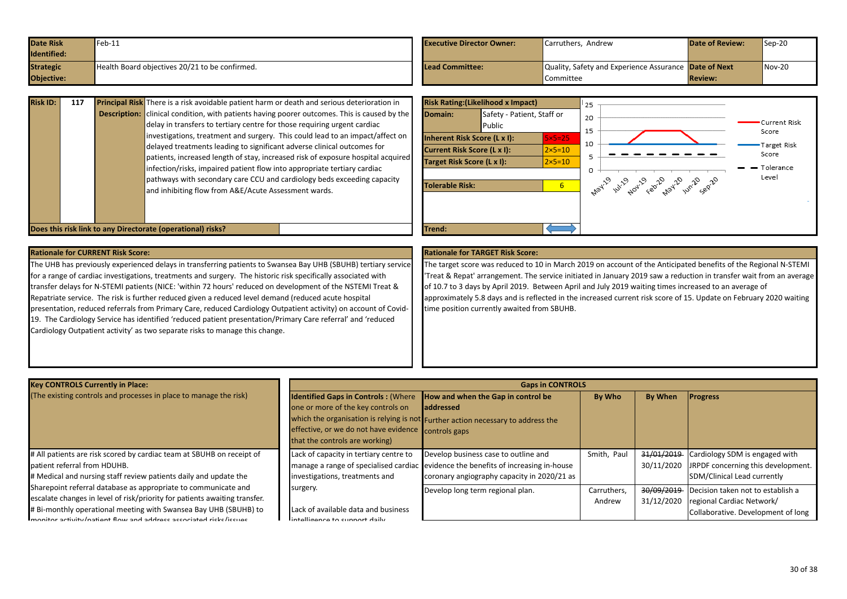<span id="page-29-0"></span>

| <b>Date Risk</b>  | $-$ eb-11                                      | <b>Executive Director Owner:</b> | Carruthers, Andrew                                    | <b>Date of Review:</b> | $Sep-20$ |
|-------------------|------------------------------------------------|----------------------------------|-------------------------------------------------------|------------------------|----------|
| Identified:       |                                                |                                  |                                                       |                        |          |
| <b>Strategic</b>  | Health Board objectives 20/21 to be confirmed. | Lead Committee:                  | Quality, Safety and Experience Assurance Date of Next |                        | $Nov-20$ |
| <b>Objective:</b> |                                                |                                  | Committee                                             | <b>Review:</b>         |          |

| <b>Risk ID:</b> | 117 | Principal Risk There is a risk avoidable patient harm or death and serious deterioration in<br><b>Description:</b> clinical condition, with patients having poorer outcomes. This is caused by the<br>delay in transfers to tertiary centre for those requiring urgent cardiac<br>investigations, treatment and surgery. This could lead to an impact/affect on<br>delayed treatments leading to significant adverse clinical outcomes for<br>patients, increased length of stay, increased risk of exposure hospital acquired<br>infection/risks, impaired patient flow into appropriate tertiary cardiac<br>pathways with secondary care CCU and cardiology beds exceeding capacity<br>and inhibiting flow from A&E/Acute Assessment wards. | Domain:<br><b>Tolerable Risk:</b> | Inherent Risk Score (L x I):<br><b>Current Risk Score (L x I):</b><br>Target Risk Score (L x I): | <b>Risk Rating: (Likelihood x Impact)</b><br>Safety - Patient, Staff or<br>Public | $5\times 5=25$<br>$2\times 5=10$<br>$2\times 5=10$<br>6 <sup>1</sup> | 25<br>20<br>15 | way 19 why way february 20 why sep 20 | Current Risk<br>Score<br>Target Risk<br>Score<br>- Tolerance<br>Level |
|-----------------|-----|-----------------------------------------------------------------------------------------------------------------------------------------------------------------------------------------------------------------------------------------------------------------------------------------------------------------------------------------------------------------------------------------------------------------------------------------------------------------------------------------------------------------------------------------------------------------------------------------------------------------------------------------------------------------------------------------------------------------------------------------------|-----------------------------------|--------------------------------------------------------------------------------------------------|-----------------------------------------------------------------------------------|----------------------------------------------------------------------|----------------|---------------------------------------|-----------------------------------------------------------------------|
|                 |     | Does this risk link to any Directorate (operational) risks?                                                                                                                                                                                                                                                                                                                                                                                                                                                                                                                                                                                                                                                                                   | <b>Trend:</b>                     |                                                                                                  |                                                                                   |                                                                      |                |                                       |                                                                       |

The UHB has previously experienced delays in transferring patients to Swansea Bay UHB (SBUHB) tertiary service for a range of cardiac investigations, treatments and surgery. The historic risk specifically associated with transfer delays for N-STEMI patients (NICE: 'within 72 hours' reduced on development of the NSTEMI Treat & Repatriate service. The risk is further reduced given a reduced level demand (reduced acute hospital presentation, reduced referrals from Primary Care, reduced Cardiology Outpatient activity) on account of Covid-19. The Cardiology Service has identified 'reduced patient presentation/Primary Care referral' and 'reduced Cardiology Outpatient activity' as two separate risks to manage this change.

### **Rationale for CURRENT Risk Score: Rationale for TARGET Risk Score:**

The target score was reduced to 10 in March 2019 on account of the Anticipated benefits of the Regional N-STEMI 'Treat & Repat' arrangement. The service initiated in January 2019 saw a reduction in transfer wait from an average of 10.7 to 3 days by April 2019. Between April and July 2019 waiting times increased to an average of approximately 5.8 days and is reflected in the increased current risk score of 15. Update on February 2020 waiting time position currently awaited from SBUHB.

| <b>Key CONTROLS Currently in Place:</b>                                    |                                                     | <b>Gaps in CONTROLS</b>                                                            |             |                |                                    |
|----------------------------------------------------------------------------|-----------------------------------------------------|------------------------------------------------------------------------------------|-------------|----------------|------------------------------------|
| (The existing controls and processes in place to manage the risk)          | <b>Identified Gaps in Controls: (Where</b>          | How and when the Gap in control be                                                 | By Who      | <b>By When</b> | <b>Progress</b>                    |
|                                                                            | one or more of the key controls on                  | addressed                                                                          |             |                |                                    |
|                                                                            |                                                     | which the organisation is relying is not Further action necessary to address the   |             |                |                                    |
|                                                                            | effective, or we do not have evidence controls gaps |                                                                                    |             |                |                                    |
|                                                                            | that the controls are working)                      |                                                                                    |             |                |                                    |
| # All patients are risk scored by cardiac team at SBUHB on receipt of      | Lack of capacity in tertiary centre to              | Develop business case to outline and                                               | Smith, Paul | 31/01/2019     | Cardiology SDM is engaged with     |
| patient referral from HDUHB.                                               |                                                     | manage a range of specialised cardiac evidence the benefits of increasing in-house |             | 30/11/2020     | JRPDF concerning this development. |
| # Medical and nursing staff review patients daily and update the           | investigations, treatments and                      | coronary angiography capacity in 2020/21 as                                        |             |                | SDM/Clinical Lead currently        |
| Sharepoint referral database as appropriate to communicate and             | surgery.                                            | Develop long term regional plan.                                                   | Carruthers. | 30/09/2019     | Decision taken not to establish a  |
| escalate changes in level of risk/priority for patients awaiting transfer. |                                                     |                                                                                    | Andrew      | 31/12/2020     | regional Cardiac Network/          |
| # Bi-monthly operational meeting with Swansea Bay UHB (SBUHB) to           | Lack of available data and business                 |                                                                                    |             |                | Collaborative. Development of long |
| monitor activity/patient flow and address associated ricks (issues         | intelligence to cunnort daily                       |                                                                                    |             |                |                                    |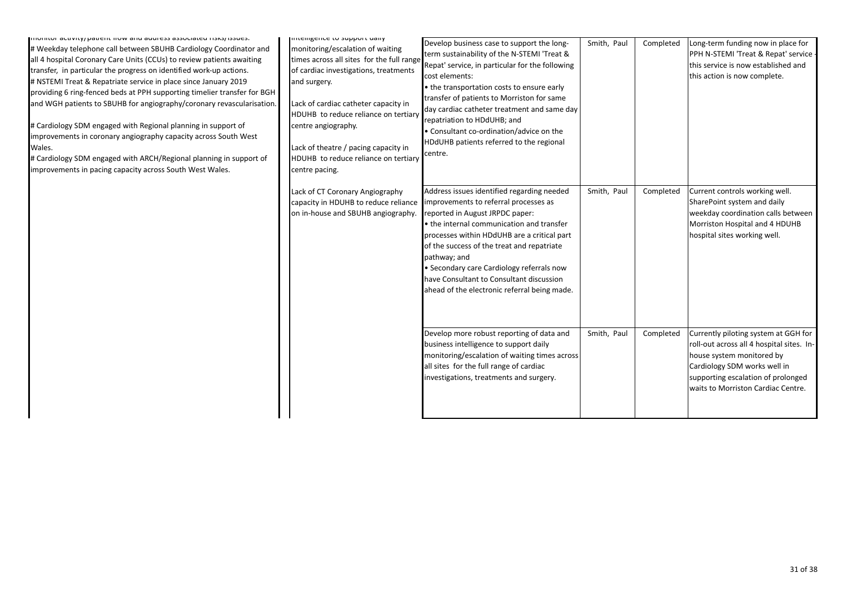| <b>INTUMILO I ACTIVITY/ DATEIT NOW AND ADDITESS ASSOCIATED NSS/15SUES.</b><br># Weekday telephone call between SBUHB Cardiology Coordinator and<br>all 4 hospital Coronary Care Units (CCUs) to review patients awaiting<br>transfer, in particular the progress on identified work-up actions.<br># NSTEMI Treat & Repatriate service in place since January 2019<br>providing 6 ring-fenced beds at PPH supporting timelier transfer for BGH<br>and WGH patients to SBUHB for angiography/coronary revascularisation.<br># Cardiology SDM engaged with Regional planning in support of<br>improvements in coronary angiography capacity across South West<br>Wales.<br># Cardiology SDM engaged with ARCH/Regional planning in support of<br>improvements in pacing capacity across South West Wales. | intemgence to support uany<br>monitoring/escalation of waiting<br>times across all sites for the full range<br>of cardiac investigations, treatments<br>and surgery.<br>Lack of cardiac catheter capacity in<br>HDUHB to reduce reliance on tertiary<br>centre angiography.<br>Lack of theatre / pacing capacity in<br>HDUHB to reduce reliance on tertiary<br>centre pacing. | Develop business case to support the long-<br>term sustainability of the N-STEMI 'Treat &<br>Repat' service, in particular for the following<br>cost elements:<br>• the transportation costs to ensure early<br>transfer of patients to Morriston for same<br>day cardiac catheter treatment and same day<br>repatriation to HDdUHB; and<br>• Consultant co-ordination/advice on the<br>HDdUHB patients referred to the regional<br>centre. | Smith, Paul | Completed | Long-term funding now in place for<br>PPH N-STEMI 'Treat & Repat' service -<br>this service is now established and<br>this action is now complete.                                                                         |
|---------------------------------------------------------------------------------------------------------------------------------------------------------------------------------------------------------------------------------------------------------------------------------------------------------------------------------------------------------------------------------------------------------------------------------------------------------------------------------------------------------------------------------------------------------------------------------------------------------------------------------------------------------------------------------------------------------------------------------------------------------------------------------------------------------|-------------------------------------------------------------------------------------------------------------------------------------------------------------------------------------------------------------------------------------------------------------------------------------------------------------------------------------------------------------------------------|---------------------------------------------------------------------------------------------------------------------------------------------------------------------------------------------------------------------------------------------------------------------------------------------------------------------------------------------------------------------------------------------------------------------------------------------|-------------|-----------|----------------------------------------------------------------------------------------------------------------------------------------------------------------------------------------------------------------------------|
|                                                                                                                                                                                                                                                                                                                                                                                                                                                                                                                                                                                                                                                                                                                                                                                                         | Lack of CT Coronary Angiography<br>capacity in HDUHB to reduce reliance<br>on in-house and SBUHB angiography.                                                                                                                                                                                                                                                                 | Address issues identified regarding needed<br>improvements to referral processes as<br>reported in August JRPDC paper:<br>• the internal communication and transfer<br>processes within HDdUHB are a critical part<br>of the success of the treat and repatriate<br>pathway; and<br>• Secondary care Cardiology referrals now<br>have Consultant to Consultant discussion<br>ahead of the electronic referral being made.                   | Smith, Paul | Completed | Current controls working well.<br>SharePoint system and daily<br>weekday coordination calls between<br>Morriston Hospital and 4 HDUHB<br>hospital sites working well.                                                      |
|                                                                                                                                                                                                                                                                                                                                                                                                                                                                                                                                                                                                                                                                                                                                                                                                         |                                                                                                                                                                                                                                                                                                                                                                               | Develop more robust reporting of data and<br>business intelligence to support daily<br>monitoring/escalation of waiting times across<br>all sites for the full range of cardiac<br>investigations, treatments and surgery.                                                                                                                                                                                                                  | Smith, Paul | Completed | Currently piloting system at GGH for<br>roll-out across all 4 hospital sites. In-<br>house system monitored by<br>Cardiology SDM works well in<br>supporting escalation of prolonged<br>waits to Morriston Cardiac Centre. |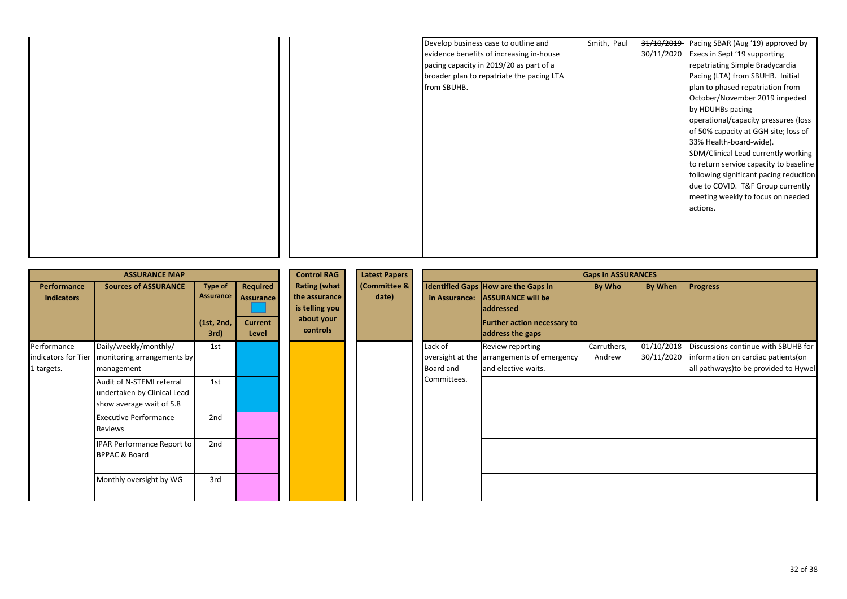| Develop business case to outline and<br>evidence benefits of increasing in-house<br>pacing capacity in 2019/20 as part of a | Smith, Paul | 31/10/2019<br>30/11/2020 | Pacing SBAR (Aug '19) approved by<br>Execs in Sept '19 supporting<br>repatriating Simple Bradycardia |
|-----------------------------------------------------------------------------------------------------------------------------|-------------|--------------------------|------------------------------------------------------------------------------------------------------|
| broader plan to repatriate the pacing LTA<br>from SBUHB.                                                                    |             |                          | Pacing (LTA) from SBUHB. Initial<br>plan to phased repatriation from                                 |
|                                                                                                                             |             |                          | October/November 2019 impeded<br>by HDUHBs pacing                                                    |
|                                                                                                                             |             |                          | operational/capacity pressures (loss<br>of 50% capacity at GGH site; loss of                         |
|                                                                                                                             |             |                          | 33% Health-board-wide).<br>SDM/Clinical Lead currently working                                       |
|                                                                                                                             |             |                          | to return service capacity to baseline<br>following significant pacing reduction                     |
|                                                                                                                             |             |                          | due to COVID. T&F Group currently<br>meeting weekly to focus on needed                               |
|                                                                                                                             |             |                          | actions.                                                                                             |
|                                                                                                                             |             |                          |                                                                                                      |
|                                                                                                                             |             |                          |                                                                                                      |

|                                                  | <b>ASSURANCE MAP</b>                                                                                                          |                                                   |                                                         | <b>Control RAG</b>                                                               | <b>Latest Papers</b>  |                                     |                                                                                                                                                      | <b>Gaps in ASSURANCES</b> |                          |                                                                                                                     |
|--------------------------------------------------|-------------------------------------------------------------------------------------------------------------------------------|---------------------------------------------------|---------------------------------------------------------|----------------------------------------------------------------------------------|-----------------------|-------------------------------------|------------------------------------------------------------------------------------------------------------------------------------------------------|---------------------------|--------------------------|---------------------------------------------------------------------------------------------------------------------|
| Performance<br><b>Indicators</b>                 | <b>Sources of ASSURANCE</b>                                                                                                   | <b>Type of</b><br>Assurance<br>(1st, 2nd,<br>3rd) | Required<br><b>Assurance</b><br><b>Current</b><br>Level | <b>Rating (what</b><br>the assurance<br>is telling you<br>about your<br>controls | (Committee &<br>date) | in Assurance:                       | <b>Identified Gaps How are the Gaps in</b><br><b>ASSURANCE will be</b><br><b>addressed</b><br><b>Further action necessary to</b><br>address the gaps | By Who                    | By When                  | <b>Progress</b>                                                                                                     |
| Performance<br>indicators for Tier<br>1 targets. | Daily/weekly/monthly/<br>monitoring arrangements by<br>management<br>Audit of N-STEMI referral<br>undertaken by Clinical Lead | 1st<br>1st                                        |                                                         |                                                                                  |                       | Lack of<br>Board and<br>Committees. | Review reporting<br>oversight at the arrangements of emergency<br>and elective waits.                                                                | Carruthers,<br>Andrew     | 01/10/2018<br>30/11/2020 | Discussions continue with SBUHB for<br>information on cardiac patients (on<br>all pathways) to be provided to Hywel |
|                                                  | show average wait of 5.8<br><b>Executive Performance</b><br>Reviews                                                           | 2nd                                               |                                                         |                                                                                  |                       |                                     |                                                                                                                                                      |                           |                          |                                                                                                                     |
|                                                  | IPAR Performance Report to<br><b>BPPAC &amp; Board</b><br>Monthly oversight by WG                                             | 2nd<br>3rd                                        |                                                         |                                                                                  |                       |                                     |                                                                                                                                                      |                           |                          |                                                                                                                     |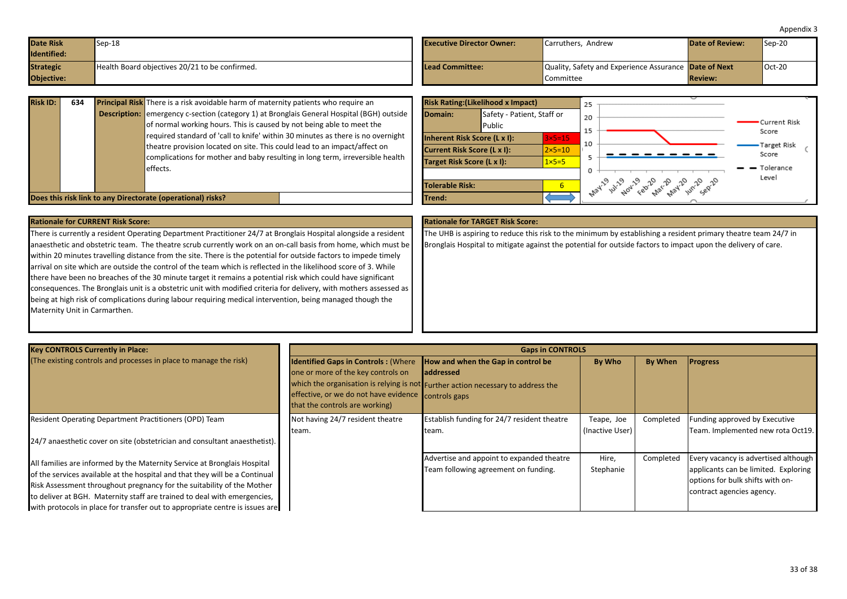<span id="page-32-0"></span>

| <b>Date Risk</b><br>Identified: | $Sep-18$                                       | <b>Executive Director Owner:</b> | Carruthers, Andrew                                                 | <b>Date of Review:</b> | $\textsf{Sep-20}$ |
|---------------------------------|------------------------------------------------|----------------------------------|--------------------------------------------------------------------|------------------------|-------------------|
| <b>Strategic</b><br>Objective:  | Health Board objectives 20/21 to be confirmed. | Lead Committee:                  | Quality, Safety and Experience Assurance Date of Next<br>Committee | <b>Review:</b>         | $Oct-20$          |

| <b>Risk ID:</b> | 634 | <b>Principal Risk</b> There is a risk avoidable harm of maternity patients who require an                                                                                                                                                     |                                                             | <b>Risk Rating: (Likelihood x Impact)</b> |                                  |
|-----------------|-----|-----------------------------------------------------------------------------------------------------------------------------------------------------------------------------------------------------------------------------------------------|-------------------------------------------------------------|-------------------------------------------|----------------------------------|
|                 |     | <b>Description:</b> emergency c-section (category 1) at Bronglais General Hospital (BGH) outside<br>of normal working hours. This is caused by not being able to meet the                                                                     | Domain:                                                     | Safety - Patient, Staff or<br>Public      |                                  |
|                 |     | required standard of 'call to knife' within 30 minutes as there is no overnight<br>theatre provision located on site. This could lead to an impact/affect on<br>complications for mother and baby resulting in long term, irreversible health | Inherent Risk Score (L x I):<br>Current Risk Score (L x I): |                                           | $3\times 5=15$<br>$2\times 5=10$ |
|                 |     | effects.                                                                                                                                                                                                                                      | Target Risk Score (L x I):                                  |                                           | $1x5=5$                          |
|                 |     | Does this risk link to any Directorate (operational) risks?                                                                                                                                                                                   | Tolerable Risk:<br>Trend:                                   |                                           |                                  |

|                            | <b>Risk Rating: (Likelihood x Impact)</b>                          |                            | 25                                                            |  |
|----------------------------|--------------------------------------------------------------------|----------------------------|---------------------------------------------------------------|--|
| Domain:                    | Safety - Patient, Staff or<br>Public                               |                            | 20<br>Current Risk<br>15<br>Score                             |  |
|                            | Inherent Risk Score (L x I):<br><b>Current Risk Score (L x I):</b> | $3x5=15$<br>$2\times 5=10$ | 10<br>Target Risk<br>Score                                    |  |
| Target Risk Score (L x I): |                                                                    | $1 \times 5 = 5$           | 5<br>Tolerance<br>0                                           |  |
| Tolerable Risk:            |                                                                    | 6                          | Level<br>. hay - ul-2 404 - cap - na - na - 10 - 10 - 20 - 20 |  |
| Trend:                     |                                                                    |                            |                                                               |  |

There is currently a resident Operating Department Practitioner 24/7 at Bronglais Hospital alongside a resident anaesthetic and obstetric team. The theatre scrub currently work on an on-call basis from home, which must be within 20 minutes travelling distance from the site. There is the potential for outside factors to impede timely arrival on site which are outside the control of the team which is reflected in the likelihood score of 3. While there have been no breaches of the 30 minute target it remains a potential risk which could have significant consequences. The Bronglais unit is a obstetric unit with modified criteria for delivery, with mothers assessed as being at high risk of complications during labour requiring medical intervention, being managed though the Maternity Unit in Carmarthen.

The UHB is aspiring to reduce this risk to the minimum by establishing a resident primary theatre team 24/7 in Bronglais Hospital to mitigate against the potential for outside factors to impact upon the delivery of care.

| <b>Key CONTROLS Currently in Place:</b>                                      | <b>Gaps in CONTROLS</b>                                                       |                                                                                  |                 |                |                                      |  |  |  |
|------------------------------------------------------------------------------|-------------------------------------------------------------------------------|----------------------------------------------------------------------------------|-----------------|----------------|--------------------------------------|--|--|--|
| (The existing controls and processes in place to manage the risk)            | <b>Identified Gaps in Controls: (Where How and when the Gap in control be</b> |                                                                                  | By Who          | <b>By When</b> | <b>Progress</b>                      |  |  |  |
|                                                                              | one or more of the key controls on                                            | <b>laddressed</b>                                                                |                 |                |                                      |  |  |  |
|                                                                              |                                                                               | which the organisation is relying is not Further action necessary to address the |                 |                |                                      |  |  |  |
|                                                                              | effective, or we do not have evidence controls gaps                           |                                                                                  |                 |                |                                      |  |  |  |
|                                                                              | that the controls are working)                                                |                                                                                  |                 |                |                                      |  |  |  |
| Resident Operating Department Practitioners (OPD) Team                       | Not having 24/7 resident theatre                                              | Establish funding for 24/7 resident theatre                                      | Teape, Joe      | Completed      | Funding approved by Executive        |  |  |  |
|                                                                              | team.                                                                         | team.                                                                            | (Inactive User) |                | Team. Implemented new rota Oct19.    |  |  |  |
| 24/7 anaesthetic cover on site (obstetrician and consultant anaesthetist).   |                                                                               |                                                                                  |                 |                |                                      |  |  |  |
|                                                                              |                                                                               | Advertise and appoint to expanded theatre                                        | Hire,           | Completed      | Every vacancy is advertised although |  |  |  |
| All families are informed by the Maternity Service at Bronglais Hospital     |                                                                               | Team following agreement on funding.                                             | Stephanie       |                | applicants can be limited. Exploring |  |  |  |
| of the services available at the hospital and that they will be a Continual  |                                                                               |                                                                                  |                 |                |                                      |  |  |  |
| Risk Assessment throughout pregnancy for the suitability of the Mother       |                                                                               |                                                                                  |                 |                | options for bulk shifts with on-     |  |  |  |
| to deliver at BGH. Maternity staff are trained to deal with emergencies,     |                                                                               |                                                                                  |                 |                | contract agencies agency.            |  |  |  |
| with protocols in place for transfer out to appropriate centre is issues are |                                                                               |                                                                                  |                 |                |                                      |  |  |  |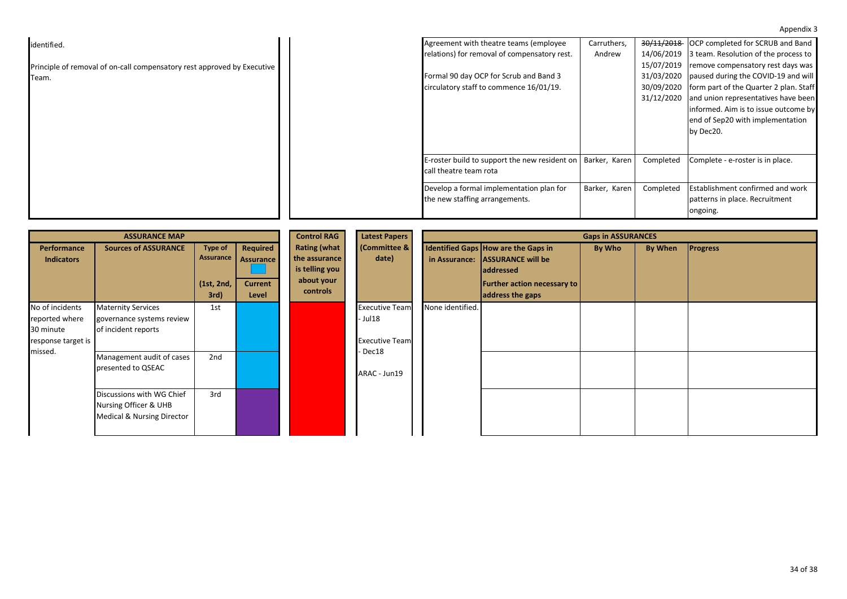|                                                                         |                                               |               |            | . 7.7                                       |
|-------------------------------------------------------------------------|-----------------------------------------------|---------------|------------|---------------------------------------------|
| identified.                                                             | Agreement with theatre teams (employee        | Carruthers,   |            | 30/11/2018 OCP completed for SCRUB and Band |
|                                                                         | relations) for removal of compensatory rest.  | Andrew        | 14/06/2019 | 3 team. Resolution of the process to        |
| Principle of removal of on-call compensatory rest approved by Executive |                                               |               | 15/07/2019 | remove compensatory rest days was           |
| Team.                                                                   | Formal 90 day OCP for Scrub and Band 3        |               | 31/03/2020 | paused during the COVID-19 and will         |
|                                                                         | circulatory staff to commence 16/01/19.       |               | 30/09/2020 | form part of the Quarter 2 plan. Staff      |
|                                                                         |                                               |               | 31/12/2020 | and union representatives have been         |
|                                                                         |                                               |               |            | informed. Aim is to issue outcome by        |
|                                                                         |                                               |               |            | end of Sep20 with implementation            |
|                                                                         |                                               |               |            | by Dec20.                                   |
|                                                                         |                                               |               |            |                                             |
|                                                                         |                                               |               |            |                                             |
|                                                                         | E-roster build to support the new resident on | Barker, Karen | Completed  | Complete - e-roster is in place.            |
|                                                                         | call theatre team rota                        |               |            |                                             |
|                                                                         |                                               |               |            |                                             |
|                                                                         | Develop a formal implementation plan for      | Barker, Karen | Completed  | <b>Establishment confirmed and work</b>     |
|                                                                         | the new staffing arrangements.                |               |            | patterns in place. Recruitment              |
|                                                                         |                                               |               |            | ongoing.                                    |

|                                                                      | <b>ASSURANCE MAP</b>                                                             |                                                   |                                                         | <b>Control RAG</b>                                                               | <b>Latest Papers</b>                                       |                  |                                                                                                                                               | <b>Gaps in ASSURANCES</b> |         |                 |  |  |  |
|----------------------------------------------------------------------|----------------------------------------------------------------------------------|---------------------------------------------------|---------------------------------------------------------|----------------------------------------------------------------------------------|------------------------------------------------------------|------------------|-----------------------------------------------------------------------------------------------------------------------------------------------|---------------------------|---------|-----------------|--|--|--|
| Performance<br><b>Indicators</b>                                     | <b>Sources of ASSURANCE</b>                                                      | <b>Type of</b><br>Assurance<br>(1st, 2nd,<br>3rd) | Required<br><b>Assurance</b><br><b>Current</b><br>Level | <b>Rating (what</b><br>the assurance<br>is telling you<br>about your<br>controls | <b>(Committee &amp;</b><br>date)                           |                  | Identified Gaps How are the Gaps in<br>in Assurance: ASSURANCE will be<br><b>addressed</b><br>Further action necessary to<br>address the gaps | By Who                    | By When | <b>Progress</b> |  |  |  |
| No of incidents<br>reported where<br>30 minute<br>response target is | <b>Maternity Services</b><br>governance systems review<br>of incident reports    | 1st                                               |                                                         |                                                                                  | <b>Executive Team</b><br>- Jul 18<br><b>Executive Team</b> | None identified. |                                                                                                                                               |                           |         |                 |  |  |  |
| missed.                                                              | Management audit of cases<br>presented to QSEAC                                  | 2nd                                               |                                                         |                                                                                  | ARAC - Jun19                                               |                  |                                                                                                                                               | - Dec18                   |         |                 |  |  |  |
|                                                                      | Discussions with WG Chief<br>Nursing Officer & UHB<br>Medical & Nursing Director | 3rd                                               |                                                         |                                                                                  |                                                            |                  |                                                                                                                                               |                           |         |                 |  |  |  |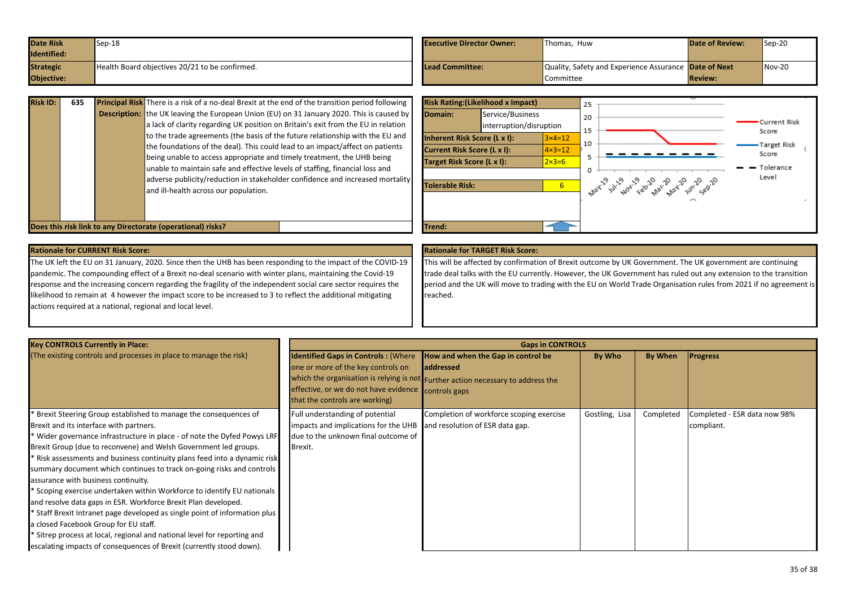<span id="page-34-0"></span>

| <b>Date Risk</b>  | $Sep-18$                                       | <b>Executive Director Owner:</b> | Thomas. Huw                                           | <b>Date of Review:</b> | $Sep-20$ |
|-------------------|------------------------------------------------|----------------------------------|-------------------------------------------------------|------------------------|----------|
| Identified:       |                                                |                                  |                                                       |                        |          |
| <b>Strategic</b>  | Health Board objectives 20/21 to be confirmed. | Lead Committee:                  | Quality, Safety and Experience Assurance Date of Next |                        | $Nov-20$ |
| <b>Objective:</b> |                                                |                                  | Committee                                             | <b>Review:</b>         |          |

| <b>Risk ID:</b> | 635 | <b>Principal Risk</b> There is a risk of a no-deal Brexit at the end of the transition period following<br><b>Description:</b> the UK leaving the European Union (EU) on 31 January 2020. This is caused by<br>a lack of clarity regarding UK position on Britain's exit from the EU in relation<br>to the trade agreements (the basis of the future relationship with the EU and<br>the foundations of the deal). This could lead to an impact/affect on patients<br>being unable to access appropriate and timely treatment, the UHB being<br>unable to maintain safe and effective levels of staffing, financial loss and<br>adverse publicity/reduction in stakeholder confidence and increased mortality<br>and ill-health across our population. | Domain:<br>Inherent Risk Score (L x I):<br><b>Current Risk Score (L x I):</b><br>Target Risk Score (L x I):<br><b>Tolerable Risk:</b> | <b>Risk Rating: (Likelihood x Impact)</b><br>Service/Business<br>interruption/disruption | $3\times 4=12$<br>$4 \times 3 = 12$<br>$2 \times 3 = 6$<br>6 <sup>1</sup> | 20<br>15<br>10 | way to use for the first way of the | Current Risk<br>Score<br>-Target Risk<br>Score<br>$ -$ Tolerance<br>Level |
|-----------------|-----|--------------------------------------------------------------------------------------------------------------------------------------------------------------------------------------------------------------------------------------------------------------------------------------------------------------------------------------------------------------------------------------------------------------------------------------------------------------------------------------------------------------------------------------------------------------------------------------------------------------------------------------------------------------------------------------------------------------------------------------------------------|---------------------------------------------------------------------------------------------------------------------------------------|------------------------------------------------------------------------------------------|---------------------------------------------------------------------------|----------------|-------------------------------------|---------------------------------------------------------------------------|
|                 |     | Does this risk link to any Directorate (operational) risks?                                                                                                                                                                                                                                                                                                                                                                                                                                                                                                                                                                                                                                                                                            | Trend:                                                                                                                                |                                                                                          |                                                                           |                |                                     |                                                                           |

The UK left the EU on 31 January, 2020. Since then the UHB has been responding to the impact of the COVID-19 pandemic. The compounding effect of a Brexit no-deal scenario with winter plans, maintaining the Covid-19 response and the increasing concern regarding the fragility of the independent social care sector requires the likelihood to remain at 4 however the impact score to be increased to 3 to reflect the additional mitigating actions required at a national, regional and local level.

This will be affected by confirmation of Brexit outcome by UK Government. The UK government are continuing trade deal talks with the EU currently. However, the UK Government has ruled out any extension to the transition period and the UK will move to trading with the EU on World Trade Organisation rules from 2021 if no agreement is reached.

| <b>Key CONTROLS Currently in Place:</b>                                                                                                                                                                                                                                                                                                                                                                                                                                                                                                                                                                                                                                                                                                                                                                                                                                         |                                                                                                                                                                                                               | <b>Gaps in CONTROLS</b>                                                                               |                |           |                                            |
|---------------------------------------------------------------------------------------------------------------------------------------------------------------------------------------------------------------------------------------------------------------------------------------------------------------------------------------------------------------------------------------------------------------------------------------------------------------------------------------------------------------------------------------------------------------------------------------------------------------------------------------------------------------------------------------------------------------------------------------------------------------------------------------------------------------------------------------------------------------------------------|---------------------------------------------------------------------------------------------------------------------------------------------------------------------------------------------------------------|-------------------------------------------------------------------------------------------------------|----------------|-----------|--------------------------------------------|
| (The existing controls and processes in place to manage the risk)                                                                                                                                                                                                                                                                                                                                                                                                                                                                                                                                                                                                                                                                                                                                                                                                               | <b>Identified Gaps in Controls: (Where  How and when the Gap in control be</b><br>one or more of the key controls on<br>effective, or we do not have evidence controls gaps<br>that the controls are working) | <b>laddressed</b><br>which the organisation is relying is not Further action necessary to address the | By Who         | By When   | <b>Progress</b>                            |
| Brexit Steering Group established to manage the consequences of<br>Brexit and its interface with partners.<br>* Wider governance infrastructure in place - of note the Dyfed Powys LRF<br>Brexit Group (due to reconvene) and Welsh Government led groups.<br>* Risk assessments and business continuity plans feed into a dynamic risk<br>summary document which continues to track on-going risks and controls<br>assurance with business continuity.<br>* Scoping exercise undertaken within Workforce to identify EU nationals<br>and resolve data gaps in ESR. Workforce Brexit Plan developed.<br>* Staff Brexit Intranet page developed as single point of information plus<br>a closed Facebook Group for EU staff.<br>* Sitrep process at local, regional and national level for reporting and<br>escalating impacts of consequences of Brexit (currently stood down). | Full understanding of potential<br>impacts and implications for the UHB<br>due to the unknown final outcome of<br>Brexit.                                                                                     | Completion of workforce scoping exercise<br>and resolution of ESR data gap.                           | Gostling, Lisa | Completed | Completed - ESR data now 98%<br>compliant. |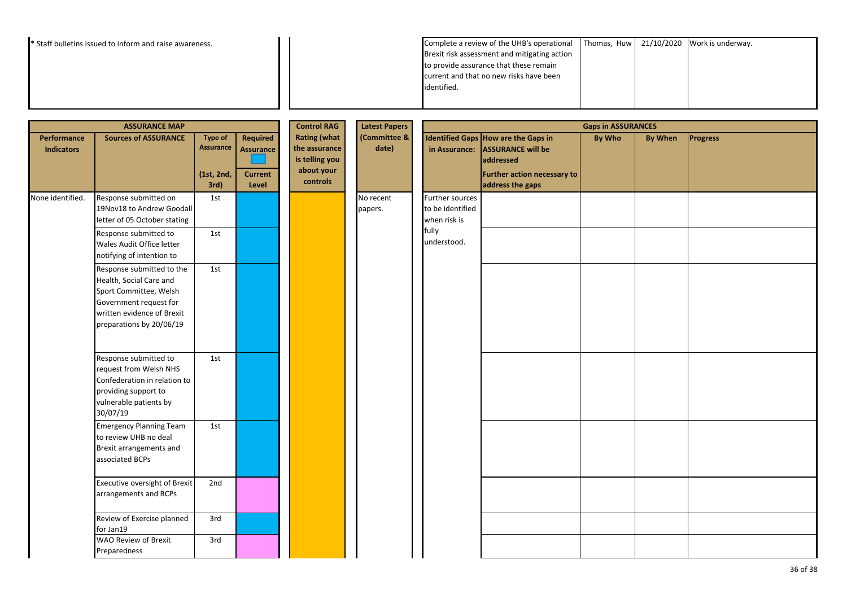| <sup>*</sup> Staff bulletins issued to inform and raise awareness. |                                         | Complete a review of the UHB's operational   Thomas, $Huw$ 21/10/2020 Work is underway. |  |
|--------------------------------------------------------------------|-----------------------------------------|-----------------------------------------------------------------------------------------|--|
|                                                                    |                                         | Brexit risk assessment and mitigating action                                            |  |
|                                                                    | to provide assurance that these remain  |                                                                                         |  |
|                                                                    | current and that no new risks have been |                                                                                         |  |
|                                                                    | identified.                             |                                                                                         |  |
|                                                                    |                                         |                                                                                         |  |
|                                                                    |                                         |                                                                                         |  |

|                                  | <b>ASSURANCE MAP</b>                                                                                                                                               |                                                          |                                                         | <b>Control RAG</b>                                                               | <b>Latest Papers</b>  | <b>Gaps in ASSURANCES</b>                           |                                                                                                                                 |               |                |                 |
|----------------------------------|--------------------------------------------------------------------------------------------------------------------------------------------------------------------|----------------------------------------------------------|---------------------------------------------------------|----------------------------------------------------------------------------------|-----------------------|-----------------------------------------------------|---------------------------------------------------------------------------------------------------------------------------------|---------------|----------------|-----------------|
| Performance<br><b>Indicators</b> | <b>Sources of ASSURANCE</b>                                                                                                                                        | <b>Type of</b><br><b>Assurance</b><br>(1st, 2nd,<br>3rd) | Required<br><b>Assurance</b><br><b>Current</b><br>Level | <b>Rating (what</b><br>the assurance<br>is telling you<br>about your<br>controls | (Committee &<br>date) | in Assurance:                                       | Identified Gaps How are the Gaps in<br><b>ASSURANCE will be</b><br>addressed<br>Further action necessary to<br>address the gaps | <b>By Who</b> | <b>By When</b> | <b>Progress</b> |
| None identified.                 | Response submitted on<br>19Nov18 to Andrew Goodall<br>letter of 05 October stating                                                                                 | 1st                                                      |                                                         |                                                                                  | No recent<br>papers.  | Further sources<br>to be identified<br>when risk is |                                                                                                                                 |               |                |                 |
|                                  | Response submitted to<br>Wales Audit Office letter<br>notifying of intention to                                                                                    | 1st                                                      |                                                         |                                                                                  |                       | fully<br>understood.                                |                                                                                                                                 |               |                |                 |
|                                  | Response submitted to the<br>Health, Social Care and<br>Sport Committee, Welsh<br>Government request for<br>written evidence of Brexit<br>preparations by 20/06/19 | 1st                                                      |                                                         |                                                                                  |                       |                                                     |                                                                                                                                 |               |                |                 |
|                                  | Response submitted to<br>request from Welsh NHS<br>Confederation in relation to<br>providing support to<br>vulnerable patients by<br>30/07/19                      | 1st                                                      |                                                         |                                                                                  |                       |                                                     |                                                                                                                                 |               |                |                 |
|                                  | <b>Emergency Planning Team</b><br>to review UHB no deal<br>Brexit arrangements and<br>associated BCPs                                                              | 1st                                                      |                                                         |                                                                                  |                       |                                                     |                                                                                                                                 |               |                |                 |
|                                  | Executive oversight of Brexit<br>arrangements and BCPs                                                                                                             | 2nd                                                      |                                                         |                                                                                  |                       |                                                     |                                                                                                                                 |               |                |                 |
|                                  | Review of Exercise planned<br>for Jan19                                                                                                                            | 3rd                                                      |                                                         |                                                                                  |                       |                                                     |                                                                                                                                 |               |                |                 |
|                                  | <b>WAO Review of Brexit</b><br>Preparedness                                                                                                                        | 3rd                                                      |                                                         |                                                                                  |                       |                                                     |                                                                                                                                 |               |                |                 |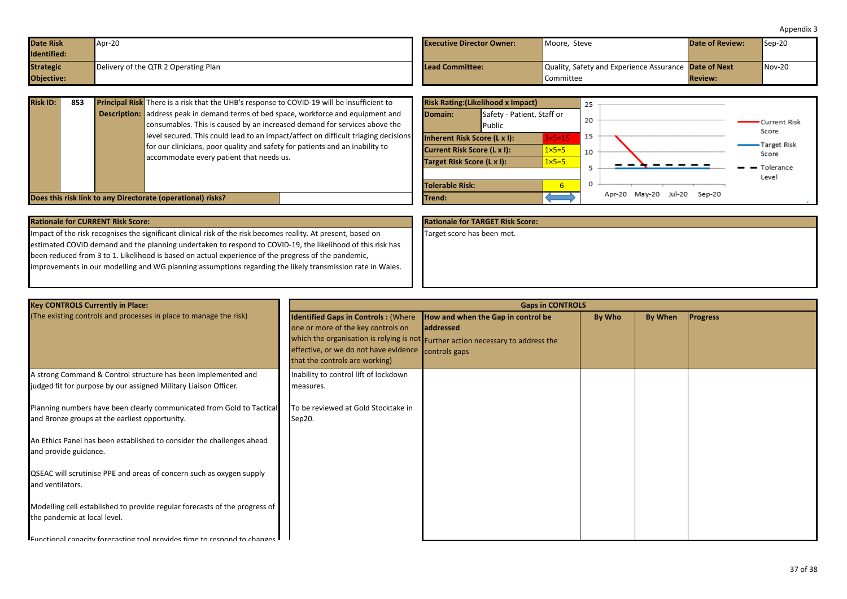<span id="page-36-0"></span>

| <b>Date Risk</b><br>Identified: | Apr-20                               | <b>Executive Director Owner:</b> | Moore, Steve                                                 | <b>Date of Review:</b> | $Sep-20$ |
|---------------------------------|--------------------------------------|----------------------------------|--------------------------------------------------------------|------------------------|----------|
| <b>Strategic</b>                | Delivery of the QTR 2 Operating Plan | Lead Committee:                  | Quality, Safety and Experience Assurance <b>Date of Next</b> |                        | $Nov-20$ |
| Objective:                      |                                      |                                  | <b>Committee</b>                                             | <b>Review:</b>         |          |

| <b>Risk ID:</b> | 853 | <b>Principal Risk</b> There is a risk that the UHB's response to COVID-19 will be insufficient to                                                                                                              | <b>Risk Rating: (Likelihood x Impact)</b><br>25                                                                                              |  |
|-----------------|-----|----------------------------------------------------------------------------------------------------------------------------------------------------------------------------------------------------------------|----------------------------------------------------------------------------------------------------------------------------------------------|--|
|                 |     | <b>Description:</b> address peak in demand terms of bed space, workforce and equipment and<br>consumables. This is caused by an increased demand for services above the                                        | Safety - Patient, Staff or<br>Domain:<br>20<br>Current Risk<br>Public<br>Score                                                               |  |
|                 |     | level secured. This could lead to an impact/affect on difficult triaging decisions<br>for our clinicians, poor quality and safety for patients and an inability to<br>accommodate every patient that needs us. | 15<br>$3\times 5=15$<br>Inherent Risk Score (L x I):<br>Target Risk<br>$1 \times 5 = 5$<br><b>Current Risk Score (L x I):</b><br>10<br>Score |  |
|                 |     |                                                                                                                                                                                                                | Target Risk Score (L x I):<br>$1 \times 5 = 5$<br>- Tolerance<br>Level<br><b>Tolerable Risk:</b><br>v.                                       |  |
|                 |     | Does this risk link to any Directorate (operational) risks?                                                                                                                                                    | Jul-20 Sep-20<br>Apr-20 May-20<br>Trend:                                                                                                     |  |

| <b>Rationale for TARGET Risk Score:</b> |
|-----------------------------------------|
| Target score has been met.              |
|                                         |
|                                         |
|                                         |
|                                         |
|                                         |

| <b>Key CONTROLS Currently in Place:</b>                                                                                           |                                                                                                                                                                           | <b>Gaps in CONTROLS</b>                                                                                                              |        |         |                 |
|-----------------------------------------------------------------------------------------------------------------------------------|---------------------------------------------------------------------------------------------------------------------------------------------------------------------------|--------------------------------------------------------------------------------------------------------------------------------------|--------|---------|-----------------|
| (The existing controls and processes in place to manage the risk)                                                                 | <b>Identified Gaps in Controls: (Where</b><br>one or more of the key controls on<br>effective, or we do not have evidence controls gaps<br>that the controls are working) | How and when the Gap in control be<br>laddressed<br>which the organisation is relying is not Further action necessary to address the | By Who | By When | <b>Progress</b> |
| A strong Command & Control structure has been implemented and<br>judged fit for purpose by our assigned Military Liaison Officer. | Inability to control lift of lockdown<br>measures.                                                                                                                        |                                                                                                                                      |        |         |                 |
| Planning numbers have been clearly communicated from Gold to Tactical<br>and Bronze groups at the earliest opportunity.           | To be reviewed at Gold Stocktake in<br>Sep20.                                                                                                                             |                                                                                                                                      |        |         |                 |
| An Ethics Panel has been established to consider the challenges ahead<br>and provide guidance.                                    |                                                                                                                                                                           |                                                                                                                                      |        |         |                 |
| QSEAC will scrutinise PPE and areas of concern such as oxygen supply<br>and ventilators.                                          |                                                                                                                                                                           |                                                                                                                                      |        |         |                 |
| Modelling cell established to provide regular forecasts of the progress of<br>the pandemic at local level.                        |                                                                                                                                                                           |                                                                                                                                      |        |         |                 |
| Eunctional canacity forecasting tool provides time to respond to changes                                                          |                                                                                                                                                                           |                                                                                                                                      |        |         |                 |